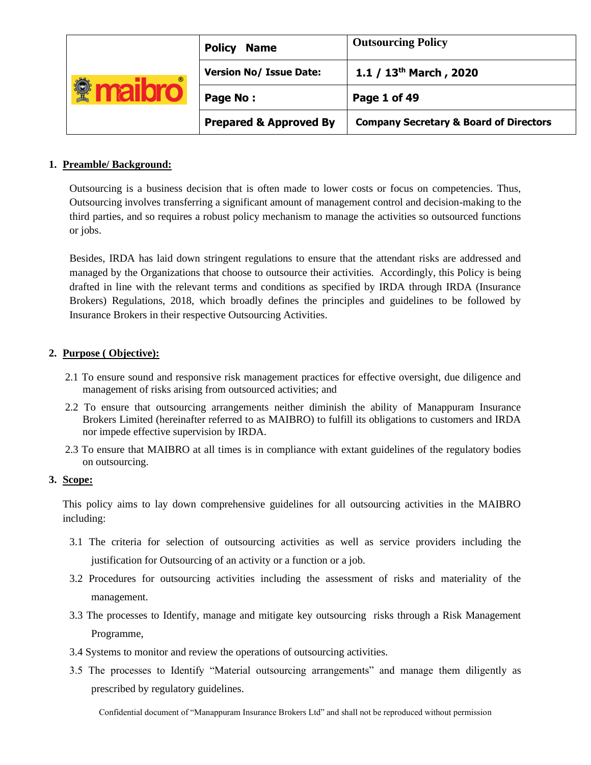| $^{\circ}$ | <b>Policy</b><br><b>Name</b>      | <b>Outsourcing Policy</b>                         |  |
|------------|-----------------------------------|---------------------------------------------------|--|
|            | <b>Version No/ Issue Date:</b>    | 1.1 / $13th$ March, 2020                          |  |
|            | Page No:                          | Page 1 of 49                                      |  |
|            | <b>Prepared &amp; Approved By</b> | <b>Company Secretary &amp; Board of Directors</b> |  |

# **1. Preamble/ Background:**

Outsourcing is a business decision that is often made to lower costs or focus on competencies. Thus, Outsourcing involves transferring a significant amount of management control and decision-making to the third parties, and so requires a robust policy mechanism to manage the activities so outsourced functions or jobs.

Besides, IRDA has laid down stringent regulations to ensure that the attendant risks are addressed and managed by the Organizations that choose to outsource their activities. Accordingly, this Policy is being drafted in line with the relevant terms and conditions as specified by IRDA through IRDA (Insurance Brokers) Regulations, 2018, which broadly defines the principles and guidelines to be followed by Insurance Brokers in their respective Outsourcing Activities.

# **2. Purpose ( Objective):**

- 2.1 To ensure sound and responsive risk management practices for effective oversight, due diligence and management of risks arising from outsourced activities; and
- 2.2 To ensure that outsourcing arrangements neither diminish the ability of Manappuram Insurance Brokers Limited (hereinafter referred to as MAIBRO) to fulfill its obligations to customers and IRDA nor impede effective supervision by IRDA.
- 2.3 To ensure that MAIBRO at all times is in compliance with extant guidelines of the regulatory bodies on outsourcing.

# **3. Scope:**

This policy aims to lay down comprehensive guidelines for all outsourcing activities in the MAIBRO including:

- 3.1 The criteria for selection of outsourcing activities as well as service providers including the justification for Outsourcing of an activity or a function or a job.
- 3.2 Procedures for outsourcing activities including the assessment of risks and materiality of the management.
- 3.3 The processes to Identify, manage and mitigate key outsourcing risks through a Risk Management Programme,
- 3.4 Systems to monitor and review the operations of outsourcing activities.
- 3.5 The processes to Identify "Material outsourcing arrangements" and manage them diligently as prescribed by regulatory guidelines.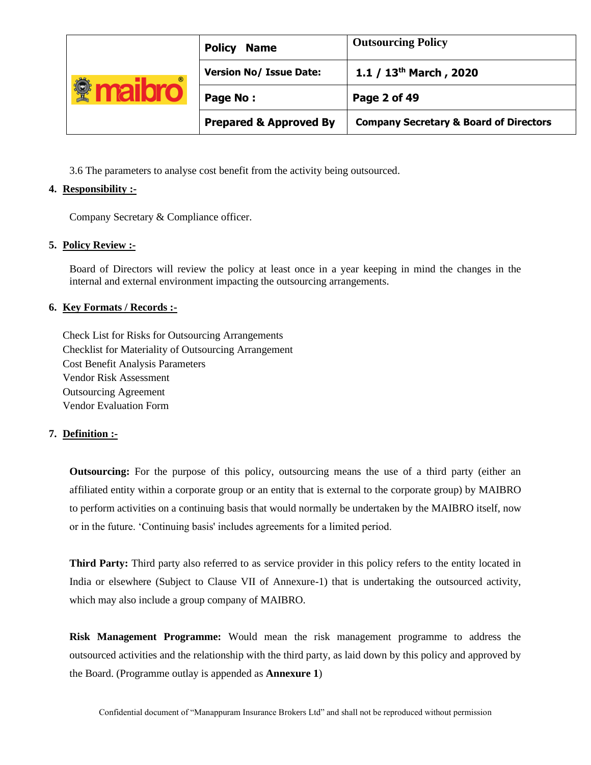| <b>Policy</b><br><b>Name</b><br><b>Version No/ Issue Date:</b><br>$^{\circ}$<br>Page No:<br><b>Prepared &amp; Approved By</b> |              | <b>Outsourcing Policy</b>                         |
|-------------------------------------------------------------------------------------------------------------------------------|--------------|---------------------------------------------------|
|                                                                                                                               |              | 1.1 / $13^{th}$ March, 2020                       |
|                                                                                                                               | Page 2 of 49 |                                                   |
|                                                                                                                               |              | <b>Company Secretary &amp; Board of Directors</b> |

3.6 The parameters to analyse cost benefit from the activity being outsourced.

# **4. Responsibility :-**

Company Secretary & Compliance officer.

# **5. Policy Review :-**

Board of Directors will review the policy at least once in a year keeping in mind the changes in the internal and external environment impacting the outsourcing arrangements.

# **6. Key Formats / Records :-**

Check List for Risks for Outsourcing Arrangements Checklist for Materiality of Outsourcing Arrangement Cost Benefit Analysis Parameters Vendor Risk Assessment Outsourcing Agreement Vendor Evaluation Form

### **7. Definition :-**

**Outsourcing:** For the purpose of this policy, outsourcing means the use of a third party (either an affiliated entity within a corporate group or an entity that is external to the corporate group) by MAIBRO to perform activities on a continuing basis that would normally be undertaken by the MAIBRO itself, now or in the future. 'Continuing basis' includes agreements for a limited period.

**Third Party:** Third party also referred to as service provider in this policy refers to the entity located in India or elsewhere (Subject to Clause VII of Annexure-1) that is undertaking the outsourced activity, which may also include a group company of MAIBRO.

**Risk Management Programme:** Would mean the risk management programme to address the outsourced activities and the relationship with the third party, as laid down by this policy and approved by the Board. (Programme outlay is appended as **Annexure 1**)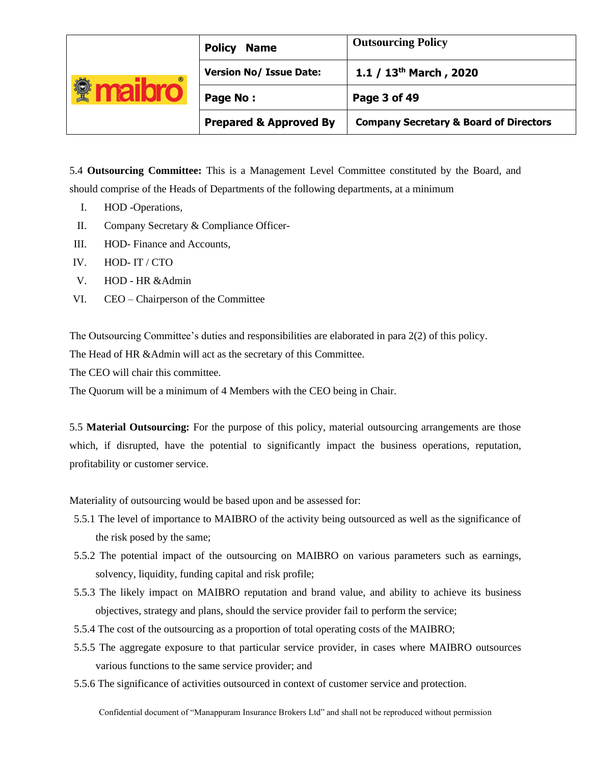| <b>Policy</b><br><b>Name</b><br><b>Version No/ Issue Date:</b><br>$^{\circ}$<br>Page No:<br>Page 3 of 49<br><b>Prepared &amp; Approved By</b> |  | <b>Outsourcing Policy</b>                         |
|-----------------------------------------------------------------------------------------------------------------------------------------------|--|---------------------------------------------------|
|                                                                                                                                               |  | 1.1 / $13th$ March, 2020                          |
|                                                                                                                                               |  |                                                   |
|                                                                                                                                               |  | <b>Company Secretary &amp; Board of Directors</b> |

5.4 **Outsourcing Committee:** This is a Management Level Committee constituted by the Board, and should comprise of the Heads of Departments of the following departments, at a minimum

- I. HOD -Operations,
- II. Company Secretary & Compliance Officer-
- III. HOD- Finance and Accounts,
- IV. HOD- IT / CTO
- V. HOD HR &Admin
- VI. CEO Chairperson of the Committee

The Outsourcing Committee's duties and responsibilities are elaborated in para 2(2) of this policy.

The Head of HR &Admin will act as the secretary of this Committee.

The CEO will chair this committee.

The Quorum will be a minimum of 4 Members with the CEO being in Chair.

5.5 **Material Outsourcing:** For the purpose of this policy, material outsourcing arrangements are those which, if disrupted, have the potential to significantly impact the business operations, reputation, profitability or customer service.

Materiality of outsourcing would be based upon and be assessed for:

- 5.5.1 The level of importance to MAIBRO of the activity being outsourced as well as the significance of the risk posed by the same;
- 5.5.2 The potential impact of the outsourcing on MAIBRO on various parameters such as earnings, solvency, liquidity, funding capital and risk profile;
- 5.5.3 The likely impact on MAIBRO reputation and brand value, and ability to achieve its business objectives, strategy and plans, should the service provider fail to perform the service;
- 5.5.4 The cost of the outsourcing as a proportion of total operating costs of the MAIBRO;
- 5.5.5 The aggregate exposure to that particular service provider, in cases where MAIBRO outsources various functions to the same service provider; and
- 5.5.6 The significance of activities outsourced in context of customer service and protection.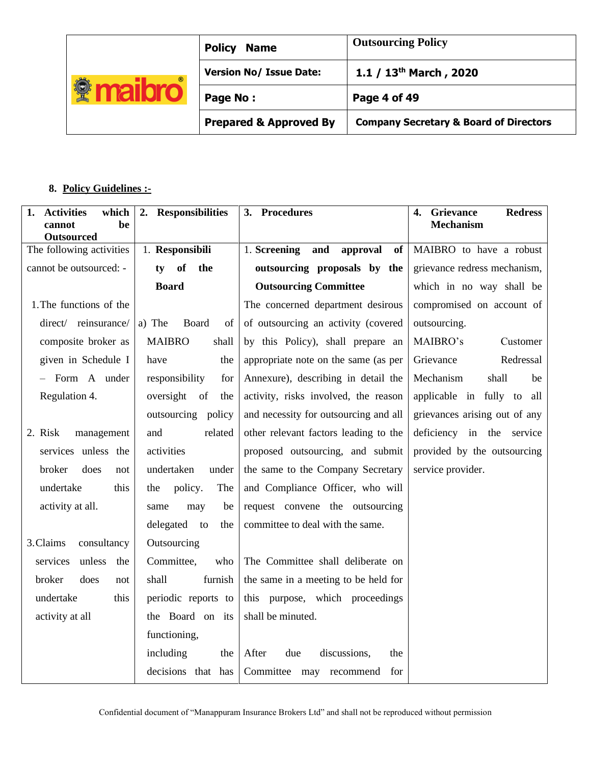| <b>Outsourcing Policy</b><br><b>Policy</b><br><b>Name</b><br><b>Version No/ Issue Date:</b><br>$^{\circ}$<br>¥<br>Page No:<br>Page 4 of 49<br><b>Prepared &amp; Approved By</b> |  |                                                   |  |
|---------------------------------------------------------------------------------------------------------------------------------------------------------------------------------|--|---------------------------------------------------|--|
|                                                                                                                                                                                 |  | 1.1 / $13th$ March, 2020                          |  |
|                                                                                                                                                                                 |  |                                                   |  |
|                                                                                                                                                                                 |  | <b>Company Secretary &amp; Board of Directors</b> |  |

# **8. Policy Guidelines :-**

| which<br>1.<br><b>Activities</b><br>be<br>cannot<br><b>Outsourced</b> | 2. Responsibilities    | 3. Procedures                         | <b>Redress</b><br>Grievance<br>4.<br><b>Mechanism</b> |
|-----------------------------------------------------------------------|------------------------|---------------------------------------|-------------------------------------------------------|
| The following activities                                              | 1. Responsibili        | 1. Screening<br>and<br>approval<br>of | MAIBRO to have a robust                               |
| cannot be outsourced: -                                               | the<br><b>of</b><br>ty | outsourcing proposals by the          | grievance redress mechanism,                          |
|                                                                       | <b>Board</b>           | <b>Outsourcing Committee</b>          | which in no way shall be                              |
| 1. The functions of the                                               |                        | The concerned department desirous     | compromised on account of                             |
| direct/ reinsurance/                                                  | a) The<br>Board<br>of  | of outsourcing an activity (covered   | outsourcing.                                          |
| composite broker as                                                   | <b>MAIBRO</b><br>shall | by this Policy), shall prepare an     | MAIBRO's<br>Customer                                  |
| given in Schedule I                                                   | have<br>the            | appropriate note on the same (as per  | Grievance<br>Redressal                                |
| - Form A under                                                        | responsibility<br>for  | Annexure), describing in detail the   | Mechanism<br>shall<br>be                              |
| Regulation 4.                                                         | oversight of<br>the    | activity, risks involved, the reason  | applicable in fully to all                            |
|                                                                       | outsourcing policy     | and necessity for outsourcing and all | grievances arising out of any                         |
| management<br>2. Risk                                                 | and<br>related         | other relevant factors leading to the | deficiency in the service                             |
| services unless the                                                   | activities             | proposed outsourcing, and submit      | provided by the outsourcing                           |
| broker<br>does<br>not                                                 | undertaken<br>under    | the same to the Company Secretary     | service provider.                                     |
| undertake<br>this                                                     | policy.<br>The<br>the  | and Compliance Officer, who will      |                                                       |
| activity at all.                                                      | may<br>be<br>same      | request convene the outsourcing       |                                                       |
|                                                                       | delegated to<br>the    | committee to deal with the same.      |                                                       |
| 3. Claims<br>consultancy                                              | Outsourcing            |                                       |                                                       |
| unless<br>services<br>the                                             | Committee,<br>who      | The Committee shall deliberate on     |                                                       |
| broker<br>does<br>not                                                 | shall<br>furnish       | the same in a meeting to be held for  |                                                       |
| undertake<br>this                                                     | periodic reports to    | this purpose, which proceedings       |                                                       |
| activity at all                                                       | the Board on its       | shall be minuted.                     |                                                       |
|                                                                       | functioning,           |                                       |                                                       |
|                                                                       | including<br>the       | discussions,<br>After<br>due<br>the   |                                                       |
|                                                                       | decisions<br>that has  | Committee<br>may<br>recommend<br>for  |                                                       |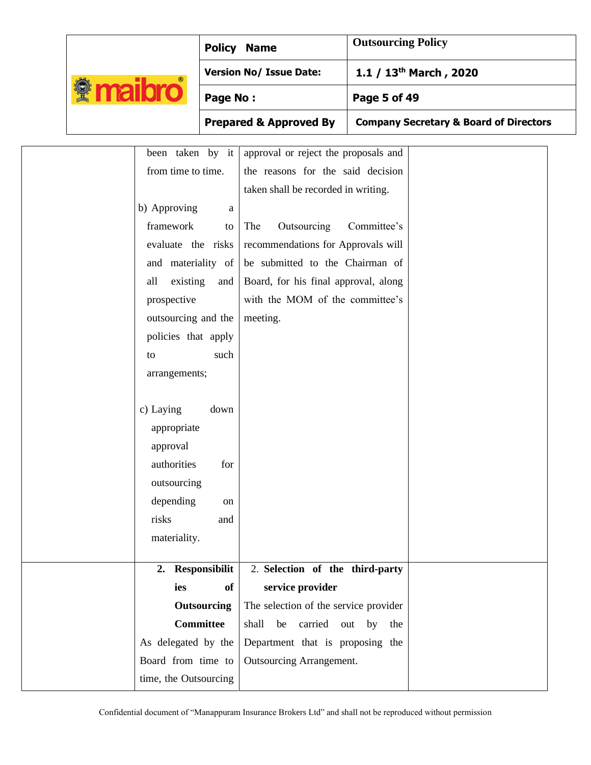|                                     |                                                                                                                                                                                                                                                                                                                                           |                                                    | <b>Policy Name</b>                                                                                                                                                                                                                                                                                     | <b>Outsourcing Policy</b> |                                                   |
|-------------------------------------|-------------------------------------------------------------------------------------------------------------------------------------------------------------------------------------------------------------------------------------------------------------------------------------------------------------------------------------------|----------------------------------------------------|--------------------------------------------------------------------------------------------------------------------------------------------------------------------------------------------------------------------------------------------------------------------------------------------------------|---------------------------|---------------------------------------------------|
|                                     |                                                                                                                                                                                                                                                                                                                                           |                                                    | <b>Version No/ Issue Date:</b>                                                                                                                                                                                                                                                                         |                           | 1.1 / 13 <sup>th</sup> March, 2020                |
| <b><i><u><b></b></u></i></b> maibro |                                                                                                                                                                                                                                                                                                                                           | Page No:                                           |                                                                                                                                                                                                                                                                                                        | Page 5 of 49              |                                                   |
|                                     |                                                                                                                                                                                                                                                                                                                                           |                                                    | <b>Prepared &amp; Approved By</b>                                                                                                                                                                                                                                                                      |                           | <b>Company Secretary &amp; Board of Directors</b> |
|                                     | been taken by it<br>from time to time.<br>b) Approving<br>framework<br>evaluate the risks<br>and materiality of<br>existing<br>all<br>prospective<br>outsourcing and the<br>policies that apply<br>to<br>arrangements;<br>c) Laying<br>appropriate<br>approval<br><i>authorities</i><br>outsourcing<br>depending<br>risks<br>materiality. | a<br>to<br>and<br>such<br>down<br>for<br>on<br>and | approval or reject the proposals and<br>the reasons for the said decision<br>taken shall be recorded in writing.<br>Outsourcing<br>The<br>recommendations for Approvals will<br>be submitted to the Chairman of<br>Board, for his final approval, along<br>with the MOM of the committee's<br>meeting. | Committee's               |                                                   |
|                                     | 2. Responsibilit<br>ies                                                                                                                                                                                                                                                                                                                   | <b>of</b>                                          | 2. Selection of the third-party<br>service provider                                                                                                                                                                                                                                                    |                           |                                                   |
|                                     |                                                                                                                                                                                                                                                                                                                                           | <b>Outsourcing</b>                                 | The selection of the service provider                                                                                                                                                                                                                                                                  |                           |                                                   |
|                                     | <b>Committee</b>                                                                                                                                                                                                                                                                                                                          |                                                    | shall<br>be carried out by                                                                                                                                                                                                                                                                             | the                       |                                                   |
|                                     | As delegated by the                                                                                                                                                                                                                                                                                                                       |                                                    | Department that is proposing the                                                                                                                                                                                                                                                                       |                           |                                                   |
|                                     | Board from time to                                                                                                                                                                                                                                                                                                                        |                                                    | Outsourcing Arrangement.                                                                                                                                                                                                                                                                               |                           |                                                   |
|                                     | time, the Outsourcing                                                                                                                                                                                                                                                                                                                     |                                                    |                                                                                                                                                                                                                                                                                                        |                           |                                                   |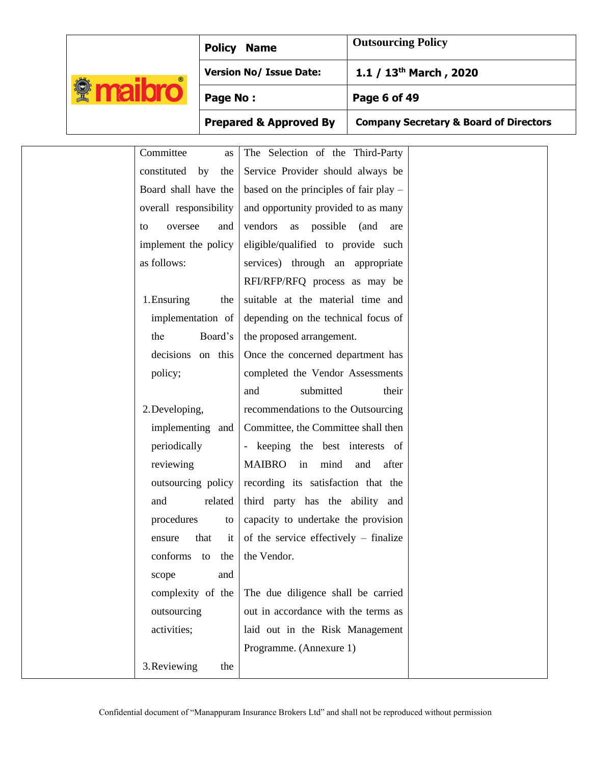|                                    |                                                                                                                                                                                                                                                                       | <b>Policy Name</b>                                                                                                                                                                                                                                                                                                                                                                                                                                                                                                             | <b>Outsourcing Policy</b>                         |
|------------------------------------|-----------------------------------------------------------------------------------------------------------------------------------------------------------------------------------------------------------------------------------------------------------------------|--------------------------------------------------------------------------------------------------------------------------------------------------------------------------------------------------------------------------------------------------------------------------------------------------------------------------------------------------------------------------------------------------------------------------------------------------------------------------------------------------------------------------------|---------------------------------------------------|
|                                    |                                                                                                                                                                                                                                                                       | <b>Version No/ Issue Date:</b>                                                                                                                                                                                                                                                                                                                                                                                                                                                                                                 | 1.1 / 13 <sup>th</sup> March, 2020                |
| <b><i><u><b>Maibro</b></u></i></b> | Page No:                                                                                                                                                                                                                                                              |                                                                                                                                                                                                                                                                                                                                                                                                                                                                                                                                | Page 6 of 49                                      |
|                                    |                                                                                                                                                                                                                                                                       | <b>Prepared &amp; Approved By</b>                                                                                                                                                                                                                                                                                                                                                                                                                                                                                              | <b>Company Secretary &amp; Board of Directors</b> |
| to                                 | Committee<br>as<br>constituted<br>by<br>the<br>Board shall have the<br>overall responsibility<br>oversee<br>and<br>implement the policy<br>as follows:<br>1. Ensuring<br>the<br>implementation of<br>the<br>Board's<br>decisions on this                              | The Selection of the Third-Party<br>Service Provider should always be<br>based on the principles of fair play $-$<br>and opportunity provided to as many<br>vendors as possible (and<br>eligible/qualified to provide such<br>services) through an appropriate<br>RFI/RFP/RFQ process as may be<br>suitable at the material time and<br>depending on the technical focus of<br>the proposed arrangement.<br>Once the concerned department has                                                                                  | are                                               |
|                                    | policy;<br>2. Developing,<br>implementing and<br>periodically<br>reviewing<br>outsourcing policy<br>related<br>and<br>procedures<br>to<br>that<br>ensure<br>conforms to the<br>scope<br>and<br>complexity of the<br>outsourcing<br>activities;<br>3. Reviewing<br>the | completed the Vendor Assessments<br>submitted<br>and<br>recommendations to the Outsourcing<br>Committee, the Committee shall then<br>- keeping the best interests of<br>MAIBRO in mind and after<br>recording its satisfaction that the<br>third party has the ability and<br>capacity to undertake the provision<br>of the service effectively $-$ finalize<br>it I<br>the Vendor.<br>The due diligence shall be carried<br>out in accordance with the terms as<br>laid out in the Risk Management<br>Programme. (Annexure 1) | their                                             |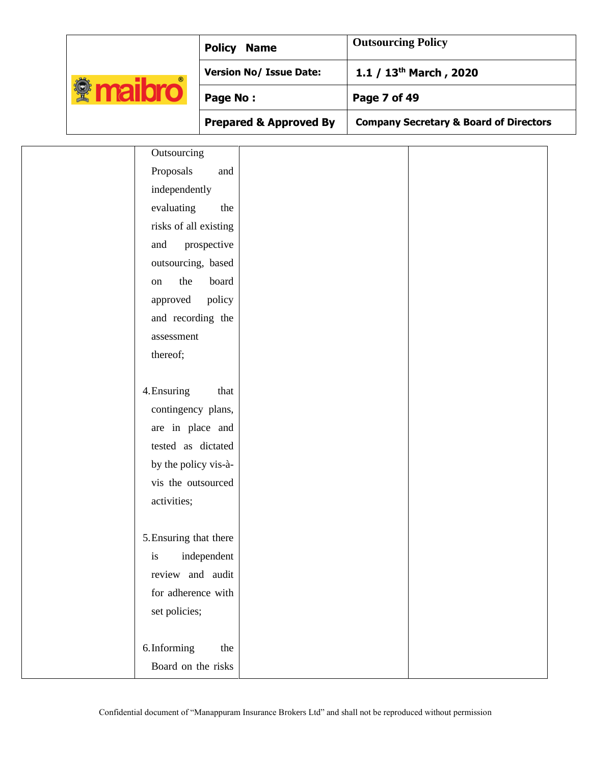|                                      |                                        |             | <b>Outsourcing Policy</b><br><b>Policy Name</b><br><b>Version No/ Issue Date:</b><br>1.1 / 13 <sup>th</sup> March, 2020<br>Page 7 of 49<br><b>Prepared &amp; Approved By</b><br><b>Company Secretary &amp; Board of Directors</b> |  |  |
|--------------------------------------|----------------------------------------|-------------|-----------------------------------------------------------------------------------------------------------------------------------------------------------------------------------------------------------------------------------|--|--|
| <b><i><u><b>A</b></u></i></b> maibro |                                        | Page No:    |                                                                                                                                                                                                                                   |  |  |
|                                      |                                        |             |                                                                                                                                                                                                                                   |  |  |
|                                      | Outsourcing<br>Proposals               | and         |                                                                                                                                                                                                                                   |  |  |
|                                      | independently                          |             |                                                                                                                                                                                                                                   |  |  |
|                                      | evaluating                             | the         |                                                                                                                                                                                                                                   |  |  |
|                                      | risks of all existing                  |             |                                                                                                                                                                                                                                   |  |  |
|                                      | and                                    | prospective |                                                                                                                                                                                                                                   |  |  |
|                                      | outsourcing, based                     |             |                                                                                                                                                                                                                                   |  |  |
|                                      | the<br>on                              | board       |                                                                                                                                                                                                                                   |  |  |
|                                      | approved                               | policy      |                                                                                                                                                                                                                                   |  |  |
|                                      | and recording the                      |             |                                                                                                                                                                                                                                   |  |  |
|                                      | assessment                             |             |                                                                                                                                                                                                                                   |  |  |
|                                      | thereof;                               |             |                                                                                                                                                                                                                                   |  |  |
|                                      |                                        |             |                                                                                                                                                                                                                                   |  |  |
|                                      | 4. Ensuring                            | that        |                                                                                                                                                                                                                                   |  |  |
|                                      | contingency plans,                     |             |                                                                                                                                                                                                                                   |  |  |
|                                      | are in place and                       |             |                                                                                                                                                                                                                                   |  |  |
|                                      | tested as dictated                     |             |                                                                                                                                                                                                                                   |  |  |
|                                      | by the policy vis-à-                   |             |                                                                                                                                                                                                                                   |  |  |
|                                      | vis the outsourced                     |             |                                                                                                                                                                                                                                   |  |  |
|                                      | activities;                            |             |                                                                                                                                                                                                                                   |  |  |
|                                      |                                        |             |                                                                                                                                                                                                                                   |  |  |
|                                      | 5. Ensuring that there                 |             |                                                                                                                                                                                                                                   |  |  |
|                                      | is                                     | independent |                                                                                                                                                                                                                                   |  |  |
|                                      | review and audit<br>for adherence with |             |                                                                                                                                                                                                                                   |  |  |
|                                      | set policies;                          |             |                                                                                                                                                                                                                                   |  |  |
|                                      |                                        |             |                                                                                                                                                                                                                                   |  |  |
|                                      | 6.Informing                            | the         |                                                                                                                                                                                                                                   |  |  |
|                                      | Board on the risks                     |             |                                                                                                                                                                                                                                   |  |  |
|                                      |                                        |             |                                                                                                                                                                                                                                   |  |  |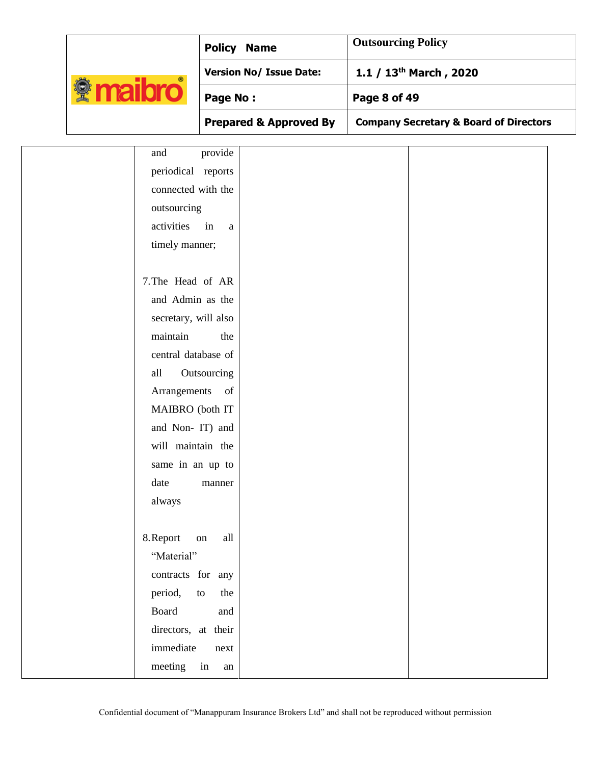|                                    | <b>Policy Name</b>                | <b>Outsourcing Policy</b>                         |
|------------------------------------|-----------------------------------|---------------------------------------------------|
|                                    | <b>Version No/ Issue Date:</b>    | 1.1 / 13 <sup>th</sup> March, 2020                |
| <b><i><u><b>Maibro</b></u></i></b> | Page No:                          | Page 8 of 49                                      |
|                                    | <b>Prepared &amp; Approved By</b> | <b>Company Secretary &amp; Board of Directors</b> |
| and                                | provide                           |                                                   |
| periodical reports                 |                                   |                                                   |
| connected with the                 |                                   |                                                   |
| outsourcing                        |                                   |                                                   |
| activities                         | in<br>a                           |                                                   |
| timely manner;                     |                                   |                                                   |
|                                    |                                   |                                                   |
| 7. The Head of AR                  |                                   |                                                   |
| and Admin as the                   |                                   |                                                   |
| secretary, will also               |                                   |                                                   |
| maintain                           | the                               |                                                   |
| central database of                |                                   |                                                   |
| all                                | Outsourcing                       |                                                   |
| Arrangements                       | of                                |                                                   |
| MAIBRO (both IT                    |                                   |                                                   |
| and Non-IT) and                    |                                   |                                                   |
| will maintain the                  |                                   |                                                   |
| same in an up to                   |                                   |                                                   |
| date                               | manner                            |                                                   |
| always                             |                                   |                                                   |
|                                    |                                   |                                                   |
| 8. Report                          | all<br>$\,$ on $\,$               |                                                   |
| "Material"                         |                                   |                                                   |
| contracts for any                  |                                   |                                                   |
| period,                            | the<br>to                         |                                                   |
| Board                              | and                               |                                                   |
| directors, at their                |                                   |                                                   |
| immediate                          | next                              |                                                   |
| meeting                            | in<br>an                          |                                                   |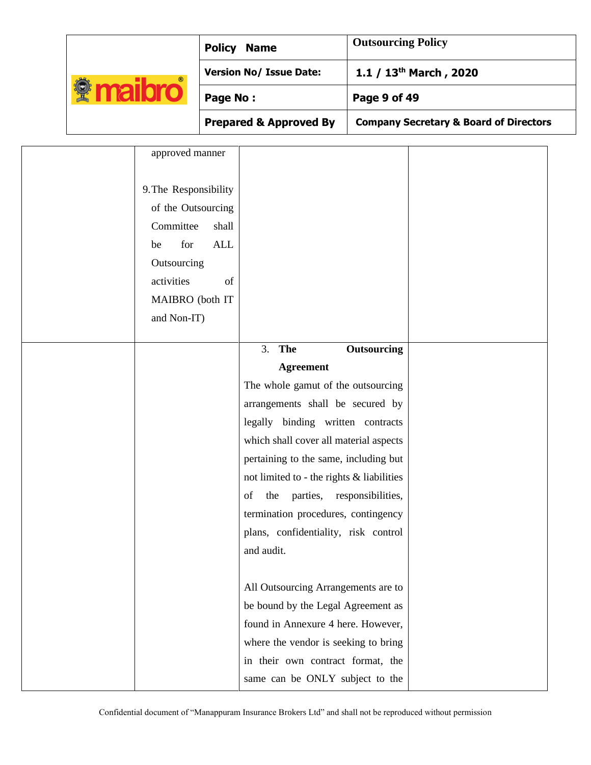|                                    |                                                                                                             | <b>Policy Name</b>                        | <b>Outsourcing Policy</b>                         |  |  |
|------------------------------------|-------------------------------------------------------------------------------------------------------------|-------------------------------------------|---------------------------------------------------|--|--|
|                                    |                                                                                                             | <b>Version No/ Issue Date:</b>            | 1.1 / 13 <sup>th</sup> March, 2020                |  |  |
| <b><i><u><b>Maibro</b></u></i></b> | Page No:                                                                                                    |                                           | Page 9 of 49                                      |  |  |
|                                    |                                                                                                             | <b>Prepared &amp; Approved By</b>         | <b>Company Secretary &amp; Board of Directors</b> |  |  |
|                                    | approved manner                                                                                             |                                           |                                                   |  |  |
| be<br>activities                   | 9. The Responsibility<br>of the Outsourcing<br>Committee<br>shall<br>for<br><b>ALL</b><br>Outsourcing<br>of |                                           |                                                   |  |  |
|                                    | MAIBRO (both IT                                                                                             |                                           |                                                   |  |  |
|                                    | and Non-IT)                                                                                                 |                                           |                                                   |  |  |
|                                    |                                                                                                             | 3. The                                    | Outsourcing                                       |  |  |
|                                    |                                                                                                             | <b>Agreement</b>                          |                                                   |  |  |
|                                    |                                                                                                             | The whole gamut of the outsourcing        |                                                   |  |  |
|                                    |                                                                                                             | arrangements shall be secured by          |                                                   |  |  |
|                                    |                                                                                                             | legally binding written contracts         |                                                   |  |  |
|                                    |                                                                                                             | which shall cover all material aspects    |                                                   |  |  |
|                                    |                                                                                                             | pertaining to the same, including but     |                                                   |  |  |
|                                    |                                                                                                             | not limited to - the rights & liabilities |                                                   |  |  |
|                                    |                                                                                                             | parties, responsibilities,<br>the<br>of   |                                                   |  |  |
|                                    |                                                                                                             | termination procedures, contingency       |                                                   |  |  |
|                                    |                                                                                                             | plans, confidentiality, risk control      |                                                   |  |  |
|                                    |                                                                                                             | and audit.                                |                                                   |  |  |
|                                    |                                                                                                             |                                           |                                                   |  |  |
|                                    |                                                                                                             | All Outsourcing Arrangements are to       |                                                   |  |  |
|                                    |                                                                                                             | be bound by the Legal Agreement as        |                                                   |  |  |
|                                    |                                                                                                             | found in Annexure 4 here. However,        |                                                   |  |  |
|                                    |                                                                                                             | where the vendor is seeking to bring      |                                                   |  |  |
|                                    |                                                                                                             | in their own contract format, the         |                                                   |  |  |
|                                    |                                                                                                             | same can be ONLY subject to the           |                                                   |  |  |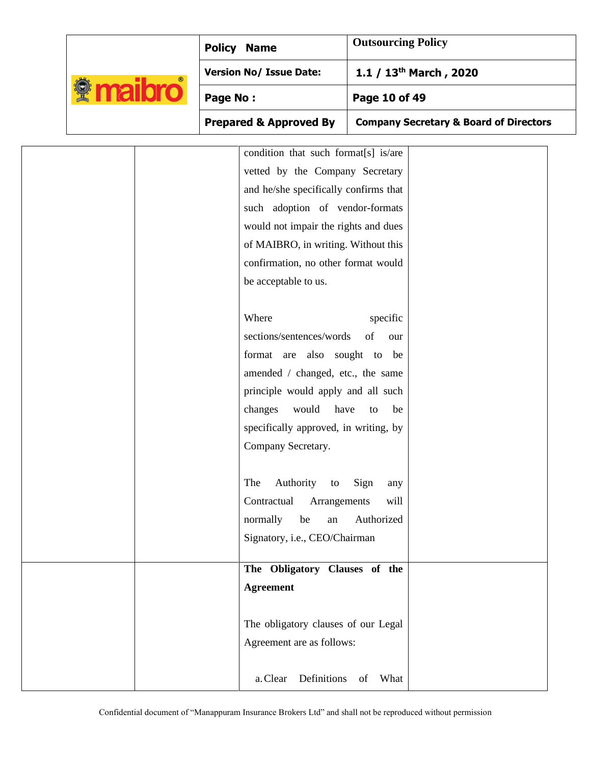|  |                                    |                                   | <b>Policy Name</b>                    | <b>Outsourcing Policy</b> |                                                   |
|--|------------------------------------|-----------------------------------|---------------------------------------|---------------------------|---------------------------------------------------|
|  |                                    |                                   | <b>Version No/ Issue Date:</b>        |                           | 1.1 / 13 <sup>th</sup> March, 2020                |
|  | <b><i><u><b>Maibro</b></u></i></b> | Page No:                          |                                       | Page 10 of 49             |                                                   |
|  |                                    | <b>Prepared &amp; Approved By</b> |                                       |                           | <b>Company Secretary &amp; Board of Directors</b> |
|  |                                    |                                   | condition that such format[s] is/are  |                           |                                                   |
|  |                                    |                                   | vetted by the Company Secretary       |                           |                                                   |
|  |                                    |                                   | and he/she specifically confirms that |                           |                                                   |
|  |                                    |                                   | such adoption of vendor-formats       |                           |                                                   |
|  |                                    |                                   | would not impair the rights and dues  |                           |                                                   |
|  |                                    |                                   | of MAIBRO, in writing. Without this   |                           |                                                   |
|  |                                    |                                   | confirmation, no other format would   |                           |                                                   |
|  |                                    |                                   | be acceptable to us.                  |                           |                                                   |
|  |                                    |                                   |                                       |                           |                                                   |
|  |                                    |                                   | Where                                 | specific                  |                                                   |
|  |                                    |                                   | sections/sentences/words              | of<br>our                 |                                                   |
|  |                                    |                                   | format are also sought to be          |                           |                                                   |
|  |                                    |                                   | amended / changed, etc., the same     |                           |                                                   |
|  |                                    |                                   | principle would apply and all such    |                           |                                                   |
|  |                                    |                                   | have<br>changes<br>would              | be<br>to                  |                                                   |
|  |                                    |                                   | specifically approved, in writing, by |                           |                                                   |
|  |                                    |                                   | Company Secretary.                    |                           |                                                   |
|  |                                    |                                   |                                       |                           |                                                   |
|  |                                    |                                   | Authority to<br>The                   | Sign<br>any               |                                                   |
|  |                                    |                                   | Contractual Arrangements              | will                      |                                                   |
|  |                                    |                                   | normally<br>be<br>${\rm an}$          | Authorized                |                                                   |
|  |                                    |                                   | Signatory, i.e., CEO/Chairman         |                           |                                                   |
|  |                                    |                                   |                                       |                           |                                                   |
|  |                                    |                                   | The Obligatory Clauses of the         |                           |                                                   |
|  |                                    |                                   | <b>Agreement</b>                      |                           |                                                   |
|  |                                    |                                   |                                       |                           |                                                   |
|  |                                    |                                   | The obligatory clauses of our Legal   |                           |                                                   |
|  |                                    |                                   | Agreement are as follows:             |                           |                                                   |
|  |                                    |                                   |                                       |                           |                                                   |
|  |                                    |                                   | a. Clear Definitions of What          |                           |                                                   |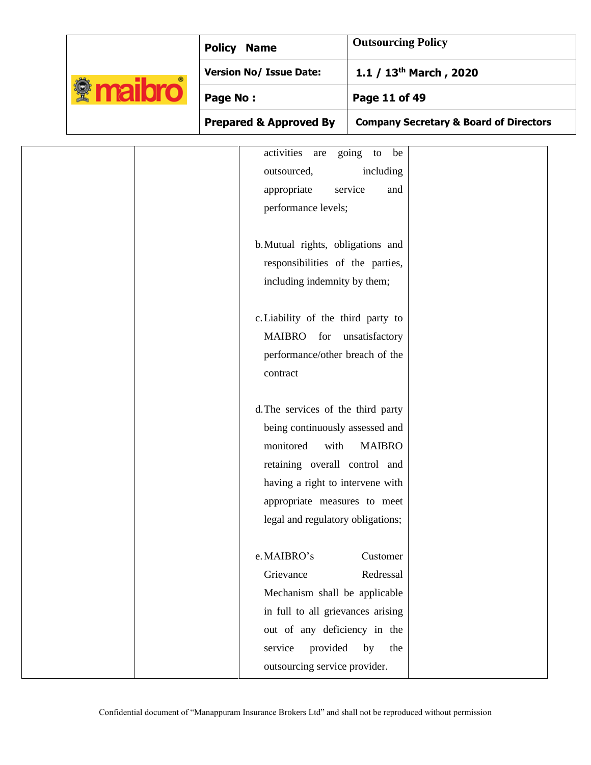|                                    |  | <b>Policy Name</b>                                                                                                                                                                                                                                                              | <b>Outsourcing Policy</b>                                          |  |
|------------------------------------|--|---------------------------------------------------------------------------------------------------------------------------------------------------------------------------------------------------------------------------------------------------------------------------------|--------------------------------------------------------------------|--|
|                                    |  | <b>Version No/ Issue Date:</b>                                                                                                                                                                                                                                                  | 1.1 / 13 <sup>th</sup> March, 2020                                 |  |
| <b><i><u><b>Maibro</b></u></i></b> |  | Page No:                                                                                                                                                                                                                                                                        | Page 11 of 49                                                      |  |
|                                    |  | <b>Prepared &amp; Approved By</b>                                                                                                                                                                                                                                               | <b>Company Secretary &amp; Board of Directors</b>                  |  |
|                                    |  | activities are<br>outsourced,<br>appropriate<br>performance levels;<br>b. Mutual rights, obligations and<br>responsibilities of the parties,<br>including indemnity by them;<br>c. Liability of the third party to<br>MAIBRO for<br>performance/other breach of the<br>contract | going<br>be<br>to<br>including<br>service<br>and<br>unsatisfactory |  |
|                                    |  | d. The services of the third party<br>being continuously assessed and<br>monitored<br>with<br>retaining overall control and<br>having a right to intervene with<br>appropriate measures to meet<br>legal and regulatory obligations;                                            | <b>MAIBRO</b>                                                      |  |
|                                    |  | e.MAIBRO's<br>Grievance<br>Mechanism shall be applicable<br>in full to all grievances arising<br>out of any deficiency in the<br>provided<br>service<br>outsourcing service provider.                                                                                           | Customer<br>Redressal<br>by<br>the                                 |  |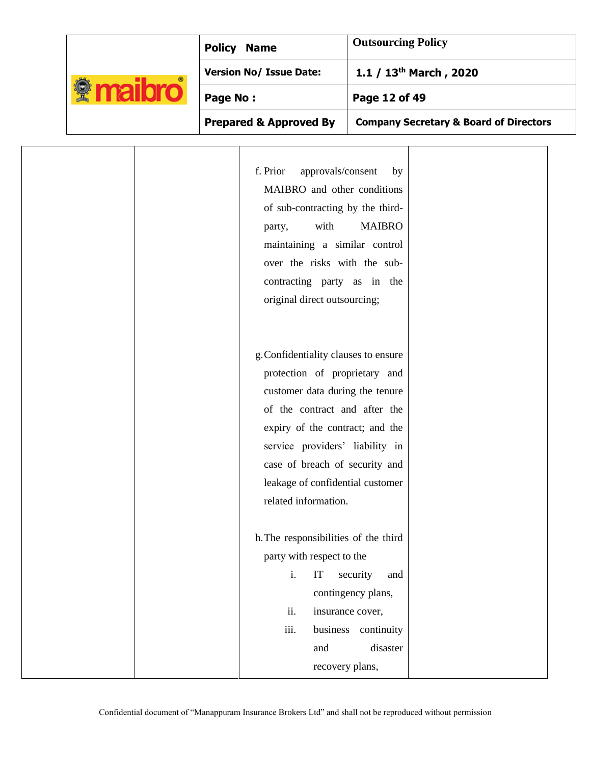|                                    | <b>Policy Name</b>                                                                                                                                                                                                                                                                                            | <b>Outsourcing Policy</b>                                                                                       |
|------------------------------------|---------------------------------------------------------------------------------------------------------------------------------------------------------------------------------------------------------------------------------------------------------------------------------------------------------------|-----------------------------------------------------------------------------------------------------------------|
|                                    | <b>Version No/ Issue Date:</b>                                                                                                                                                                                                                                                                                | 1.1 / 13 <sup>th</sup> March, 2020                                                                              |
| <b><i><u><b>Maibro</b></u></i></b> | Page No:                                                                                                                                                                                                                                                                                                      | Page 12 of 49                                                                                                   |
|                                    | <b>Prepared &amp; Approved By</b>                                                                                                                                                                                                                                                                             | <b>Company Secretary &amp; Board of Directors</b>                                                               |
|                                    | f. Prior<br>approvals/consent<br>MAIBRO and other conditions<br>of sub-contracting by the third-<br>with<br>party,<br>maintaining a similar control<br>over the risks with the sub-<br>contracting party as in the<br>original direct outsourcing;                                                            | by<br><b>MAIBRO</b>                                                                                             |
|                                    | g. Confidentiality clauses to ensure<br>protection of proprietary and<br>customer data during the tenure<br>of the contract and after the<br>expiry of the contract; and the<br>service providers' liability in<br>case of breach of security and<br>leakage of confidential customer<br>related information. |                                                                                                                 |
|                                    | h. The responsibilities of the third<br>party with respect to the<br>i.<br>IT<br>ii.<br>iii.<br>and                                                                                                                                                                                                           | security<br>and<br>contingency plans,<br>insurance cover,<br>business continuity<br>disaster<br>recovery plans, |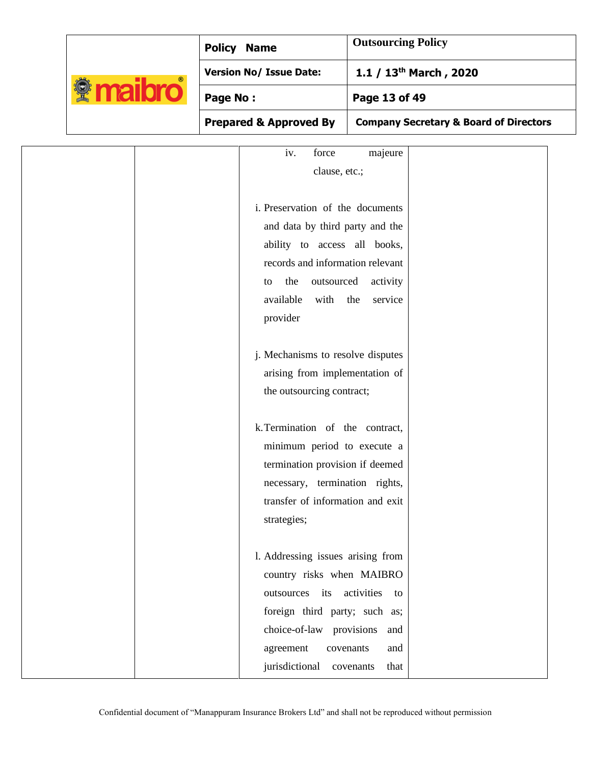|  |                                    |  | <b>Policy Name</b>                                                  | <b>Outsourcing Policy</b>          |                                                   |
|--|------------------------------------|--|---------------------------------------------------------------------|------------------------------------|---------------------------------------------------|
|  | <b><i><u><b>Maibro</b></u></i></b> |  | <b>Version No/ Issue Date:</b>                                      | 1.1 / 13 <sup>th</sup> March, 2020 |                                                   |
|  |                                    |  | Page No:                                                            | Page 13 of 49                      |                                                   |
|  |                                    |  | <b>Prepared &amp; Approved By</b>                                   |                                    | <b>Company Secretary &amp; Board of Directors</b> |
|  |                                    |  | iv.<br>force                                                        | majeure                            |                                                   |
|  |                                    |  | clause, etc.;                                                       |                                    |                                                   |
|  |                                    |  | i. Preservation of the documents                                    |                                    |                                                   |
|  |                                    |  | and data by third party and the                                     |                                    |                                                   |
|  |                                    |  | ability to access all books,                                        |                                    |                                                   |
|  |                                    |  | records and information relevant<br>the<br>outsourced<br>to         | activity                           |                                                   |
|  |                                    |  | available<br>with                                                   | the<br>service                     |                                                   |
|  |                                    |  | provider                                                            |                                    |                                                   |
|  |                                    |  |                                                                     |                                    |                                                   |
|  |                                    |  | j. Mechanisms to resolve disputes<br>arising from implementation of |                                    |                                                   |
|  |                                    |  | the outsourcing contract;                                           |                                    |                                                   |
|  |                                    |  |                                                                     |                                    |                                                   |
|  |                                    |  | k. Termination of the contract,                                     |                                    |                                                   |
|  |                                    |  | minimum period to execute a<br>termination provision if deemed      |                                    |                                                   |
|  |                                    |  | necessary, termination rights,                                      |                                    |                                                   |
|  |                                    |  | transfer of information and exit                                    |                                    |                                                   |
|  |                                    |  | strategies;                                                         |                                    |                                                   |
|  |                                    |  | 1. Addressing issues arising from                                   |                                    |                                                   |
|  |                                    |  | country risks when MAIBRO                                           |                                    |                                                   |
|  |                                    |  | outsources its                                                      | activities<br>to                   |                                                   |
|  |                                    |  | foreign third party; such as;                                       |                                    |                                                   |
|  |                                    |  | choice-of-law provisions                                            | and                                |                                                   |
|  |                                    |  | agreement<br>covenants<br>jurisdictional                            | and<br>that<br>covenants           |                                                   |
|  |                                    |  |                                                                     |                                    |                                                   |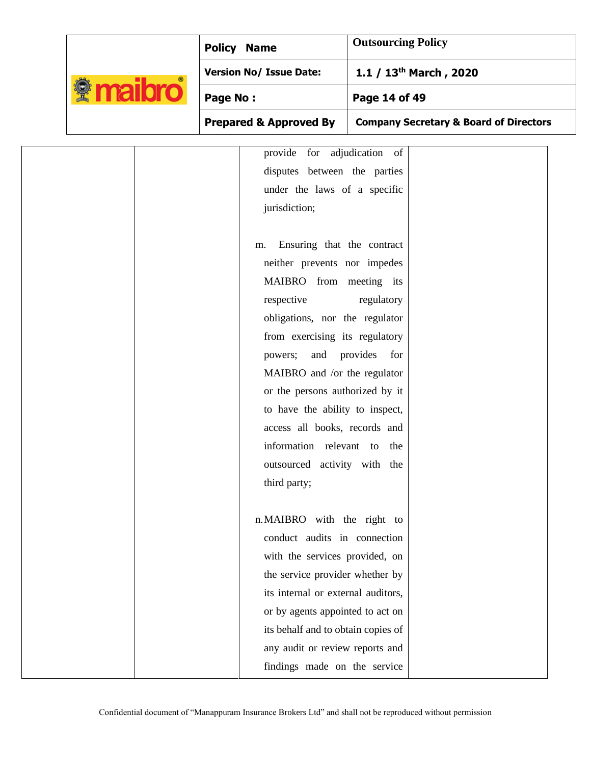|                                     |          | <b>Policy Name</b>                                                                                                                                                                                                                                                                                                                                                                                                                                                                                                                                                           | <b>Outsourcing Policy</b>                         |  |
|-------------------------------------|----------|------------------------------------------------------------------------------------------------------------------------------------------------------------------------------------------------------------------------------------------------------------------------------------------------------------------------------------------------------------------------------------------------------------------------------------------------------------------------------------------------------------------------------------------------------------------------------|---------------------------------------------------|--|
|                                     |          | <b>Version No/ Issue Date:</b>                                                                                                                                                                                                                                                                                                                                                                                                                                                                                                                                               | 1.1 / 13 <sup>th</sup> March, 2020                |  |
| <b><i><u><b></b></u></i></b> maibro | Page No: |                                                                                                                                                                                                                                                                                                                                                                                                                                                                                                                                                                              | Page 14 of 49                                     |  |
|                                     |          | <b>Prepared &amp; Approved By</b>                                                                                                                                                                                                                                                                                                                                                                                                                                                                                                                                            | <b>Company Secretary &amp; Board of Directors</b> |  |
|                                     |          | provide for adjudication of<br>disputes between the parties<br>under the laws of a specific<br>jurisdiction;<br>Ensuring that the contract<br>m.<br>neither prevents nor impedes<br>MAIBRO from meeting its<br>respective<br>obligations, nor the regulator<br>from exercising its regulatory<br>and provides<br>powers;<br>MAIBRO and /or the regulator<br>or the persons authorized by it<br>to have the ability to inspect,<br>access all books, records and<br>information relevant to the<br>outsourced activity with the<br>third party;<br>n.MAIBRO with the right to | regulatory<br>for                                 |  |
|                                     |          | conduct audits in connection<br>with the services provided, on<br>the service provider whether by                                                                                                                                                                                                                                                                                                                                                                                                                                                                            |                                                   |  |
|                                     |          | its internal or external auditors,<br>or by agents appointed to act on<br>its behalf and to obtain copies of                                                                                                                                                                                                                                                                                                                                                                                                                                                                 |                                                   |  |
|                                     |          | any audit or review reports and<br>findings made on the service                                                                                                                                                                                                                                                                                                                                                                                                                                                                                                              |                                                   |  |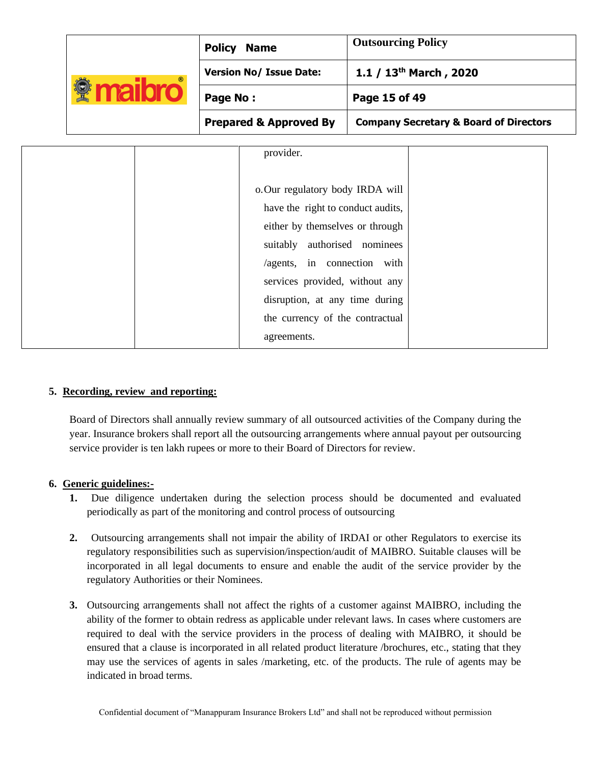|                                    | <b>Policy</b>                                                                   | <b>Name</b>                       | <b>Outsourcing Policy</b>                                                                      |  |
|------------------------------------|---------------------------------------------------------------------------------|-----------------------------------|------------------------------------------------------------------------------------------------|--|
|                                    | <b>Version No/ Issue Date:</b><br>Page No:<br><b>Prepared &amp; Approved By</b> |                                   | 1.1 / $13th$ March, 2020<br>Page 15 of 49<br><b>Company Secretary &amp; Board of Directors</b> |  |
| <b><i><u><b>Maibro</b></u></i></b> |                                                                                 |                                   |                                                                                                |  |
|                                    |                                                                                 |                                   |                                                                                                |  |
|                                    |                                                                                 | provider.                         |                                                                                                |  |
|                                    |                                                                                 | o. Our regulatory body IRDA will  |                                                                                                |  |
|                                    |                                                                                 | have the right to conduct audits, |                                                                                                |  |

|  | suitably authorised nominees    |  |
|--|---------------------------------|--|
|  | /agents, in connection with     |  |
|  | services provided, without any  |  |
|  | disruption, at any time during  |  |
|  | the currency of the contractual |  |
|  | agreements.                     |  |
|  |                                 |  |

### **5. Recording, review and reporting:**

Board of Directors shall annually review summary of all outsourced activities of the Company during the year. Insurance brokers shall report all the outsourcing arrangements where annual payout per outsourcing service provider is ten lakh rupees or more to their Board of Directors for review.

### **6. Generic guidelines:-**

- **1.** Due diligence undertaken during the selection process should be documented and evaluated periodically as part of the monitoring and control process of outsourcing
- **2.** Outsourcing arrangements shall not impair the ability of IRDAI or other Regulators to exercise its regulatory responsibilities such as supervision/inspection/audit of MAIBRO. Suitable clauses will be incorporated in all legal documents to ensure and enable the audit of the service provider by the regulatory Authorities or their Nominees.
- **3.** Outsourcing arrangements shall not affect the rights of a customer against MAIBRO, including the ability of the former to obtain redress as applicable under relevant laws. In cases where customers are required to deal with the service providers in the process of dealing with MAIBRO, it should be ensured that a clause is incorporated in all related product literature /brochures, etc., stating that they may use the services of agents in sales /marketing, etc. of the products. The rule of agents may be indicated in broad terms.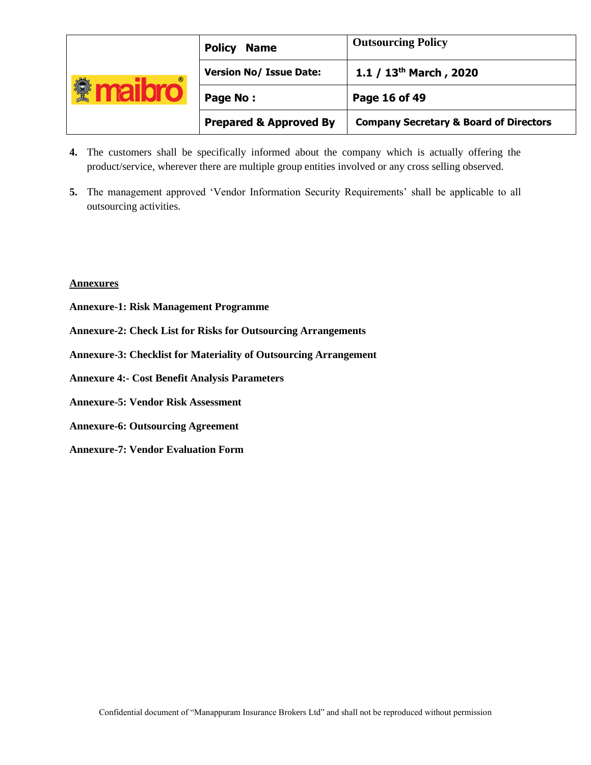| $^{\circ}$ | <b>Policy</b><br><b>Name</b>      | <b>Outsourcing Policy</b>                         |
|------------|-----------------------------------|---------------------------------------------------|
|            | <b>Version No/ Issue Date:</b>    | 1.1 / $13^{th}$ March, 2020                       |
|            | Page No:                          | Page 16 of 49                                     |
|            | <b>Prepared &amp; Approved By</b> | <b>Company Secretary &amp; Board of Directors</b> |

- **4.** The customers shall be specifically informed about the company which is actually offering the product/service, wherever there are multiple group entities involved or any cross selling observed.
- **5.** The management approved 'Vendor Information Security Requirements' shall be applicable to all outsourcing activities.

#### **Annexures**

- **Annexure-1: Risk Management Programme**
- **Annexure-2: Check List for Risks for Outsourcing Arrangements**
- **Annexure-3: Checklist for Materiality of Outsourcing Arrangement**
- **Annexure 4:- Cost Benefit Analysis Parameters**
- **Annexure-5: Vendor Risk Assessment**
- **Annexure-6: Outsourcing Agreement**
- **Annexure-7: Vendor Evaluation Form**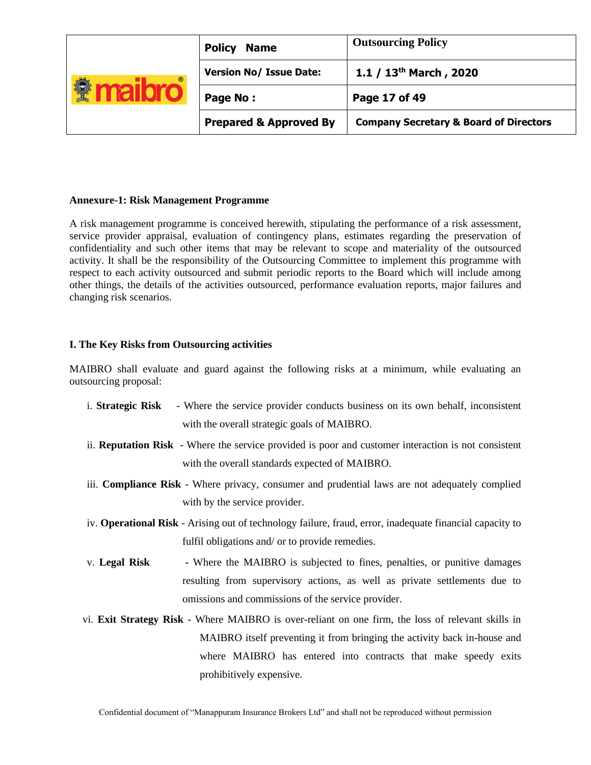| $^{\circ}$ | <b>Policy</b><br><b>Name</b>      | <b>Outsourcing Policy</b>                         |
|------------|-----------------------------------|---------------------------------------------------|
|            | <b>Version No/ Issue Date:</b>    | 1.1 / $13^{th}$ March, 2020                       |
|            | Page No:                          | Page 17 of 49                                     |
|            | <b>Prepared &amp; Approved By</b> | <b>Company Secretary &amp; Board of Directors</b> |

### **Annexure-1: Risk Management Programme**

A risk management programme is conceived herewith, stipulating the performance of a risk assessment, service provider appraisal, evaluation of contingency plans, estimates regarding the preservation of confidentiality and such other items that may be relevant to scope and materiality of the outsourced activity. It shall be the responsibility of the Outsourcing Committee to implement this programme with respect to each activity outsourced and submit periodic reports to the Board which will include among other things, the details of the activities outsourced, performance evaluation reports, major failures and changing risk scenarios.

# **I. The Key Risks from Outsourcing activities**

MAIBRO shall evaluate and guard against the following risks at a minimum, while evaluating an outsourcing proposal:

|               | i. Strategic Risk - Where the service provider conducts business on its own behalf, inconsistent                |
|---------------|-----------------------------------------------------------------------------------------------------------------|
|               | with the overall strategic goals of MAIBRO.                                                                     |
|               | ii. Reputation Risk - Where the service provided is poor and customer interaction is not consistent             |
|               | with the overall standards expected of MAIBRO.                                                                  |
|               | iii. Compliance Risk - Where privacy, consumer and prudential laws are not adequately complied                  |
|               | with by the service provider.                                                                                   |
|               | iv. <b>Operational Risk</b> - Arising out of technology failure, fraud, error, inadequate financial capacity to |
|               | fulfil obligations and/ or to provide remedies.                                                                 |
| v. Legal Risk | - Where the MAIBRO is subjected to fines, penalties, or punitive damages                                        |
|               | resulting from supervisory actions, as well as private settlements due to                                       |
|               | omissions and commissions of the service provider.                                                              |
|               | vi. Exit Strategy Risk - Where MAIBRO is over-reliant on one firm, the loss of relevant skills in               |
|               | MAIBRO itself preventing it from bringing the activity back in-house and                                        |
|               | where MAIBRO has entered into contracts that make speedy exits                                                  |
|               | prohibitively expensive.                                                                                        |
|               |                                                                                                                 |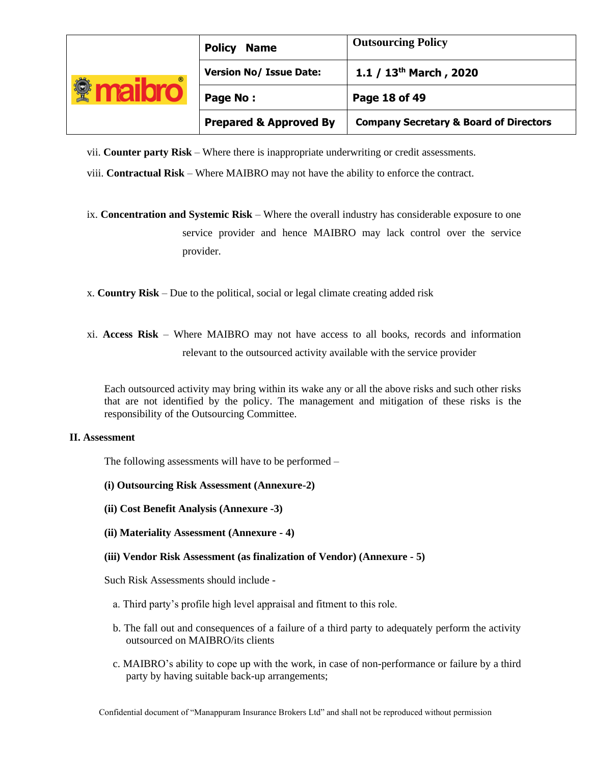| $^{\circ}$ | <b>Policy</b><br><b>Name</b>      | <b>Outsourcing Policy</b>                         |
|------------|-----------------------------------|---------------------------------------------------|
|            | <b>Version No/ Issue Date:</b>    | 1.1 / $13^{th}$ March, 2020                       |
|            | Page No:                          | Page 18 of 49                                     |
|            | <b>Prepared &amp; Approved By</b> | <b>Company Secretary &amp; Board of Directors</b> |

vii. **Counter party Risk** – Where there is inappropriate underwriting or credit assessments.

- viii. **Contractual Risk**  Where MAIBRO may not have the ability to enforce the contract.
- ix. **Concentration and Systemic Risk**  Where the overall industry has considerable exposure to one service provider and hence MAIBRO may lack control over the service provider.
- x. **Country Risk**  Due to the political, social or legal climate creating added risk
- xi. **Access Risk**  Where MAIBRO may not have access to all books, records and information relevant to the outsourced activity available with the service provider

Each outsourced activity may bring within its wake any or all the above risks and such other risks that are not identified by the policy. The management and mitigation of these risks is the responsibility of the Outsourcing Committee.

### **II. Assessment**

The following assessments will have to be performed –

- **(i) Outsourcing Risk Assessment (Annexure-2)**
- **(ii) Cost Benefit Analysis (Annexure -3)**
- **(ii) Materiality Assessment (Annexure - 4)**
- **(iii) Vendor Risk Assessment (as finalization of Vendor) (Annexure - 5)**

Such Risk Assessments should include -

- a. Third party's profile high level appraisal and fitment to this role.
- b. The fall out and consequences of a failure of a third party to adequately perform the activity outsourced on MAIBRO/its clients
- c. MAIBRO's ability to cope up with the work, in case of non-performance or failure by a third party by having suitable back-up arrangements;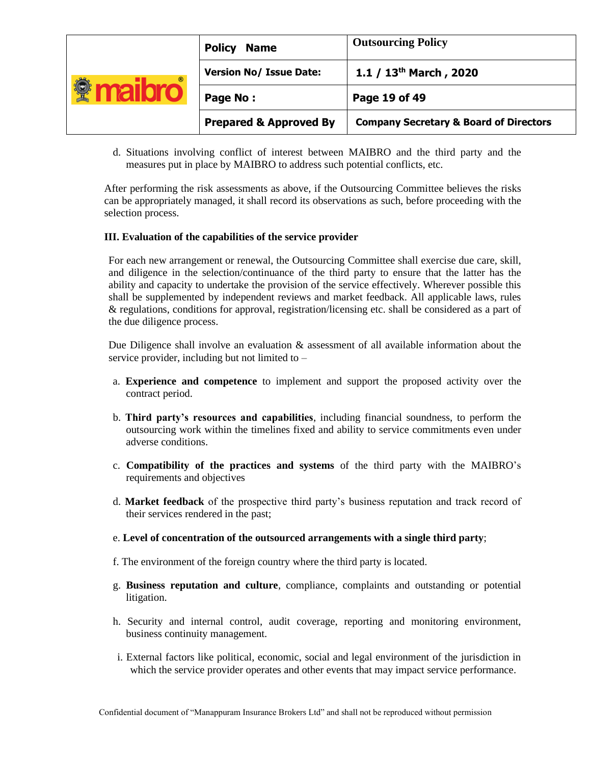| $^{\circ}$ | <b>Policy</b><br><b>Name</b>      | <b>Outsourcing Policy</b>                         |
|------------|-----------------------------------|---------------------------------------------------|
|            | <b>Version No/ Issue Date:</b>    | 1.1 / $13th$ March, 2020                          |
|            | Page No:                          | Page 19 of 49                                     |
|            | <b>Prepared &amp; Approved By</b> | <b>Company Secretary &amp; Board of Directors</b> |

d. Situations involving conflict of interest between MAIBRO and the third party and the measures put in place by MAIBRO to address such potential conflicts, etc.

After performing the risk assessments as above, if the Outsourcing Committee believes the risks can be appropriately managed, it shall record its observations as such, before proceeding with the selection process.

### **III. Evaluation of the capabilities of the service provider**

For each new arrangement or renewal, the Outsourcing Committee shall exercise due care, skill, and diligence in the selection/continuance of the third party to ensure that the latter has the ability and capacity to undertake the provision of the service effectively. Wherever possible this shall be supplemented by independent reviews and market feedback. All applicable laws, rules & regulations, conditions for approval, registration/licensing etc. shall be considered as a part of the due diligence process.

Due Diligence shall involve an evaluation & assessment of all available information about the service provider, including but not limited to –

- a. **Experience and competence** to implement and support the proposed activity over the contract period.
- b. **Third party's resources and capabilities**, including financial soundness, to perform the outsourcing work within the timelines fixed and ability to service commitments even under adverse conditions.
- c. **Compatibility of the practices and systems** of the third party with the MAIBRO's requirements and objectives
- d. **Market feedback** of the prospective third party's business reputation and track record of their services rendered in the past;
- e. **Level of concentration of the outsourced arrangements with a single third party**;
- f. The environment of the foreign country where the third party is located.
- g. **Business reputation and culture**, compliance, complaints and outstanding or potential litigation.
- h. Security and internal control, audit coverage, reporting and monitoring environment, business continuity management.
- i. External factors like political, economic, social and legal environment of the jurisdiction in which the service provider operates and other events that may impact service performance.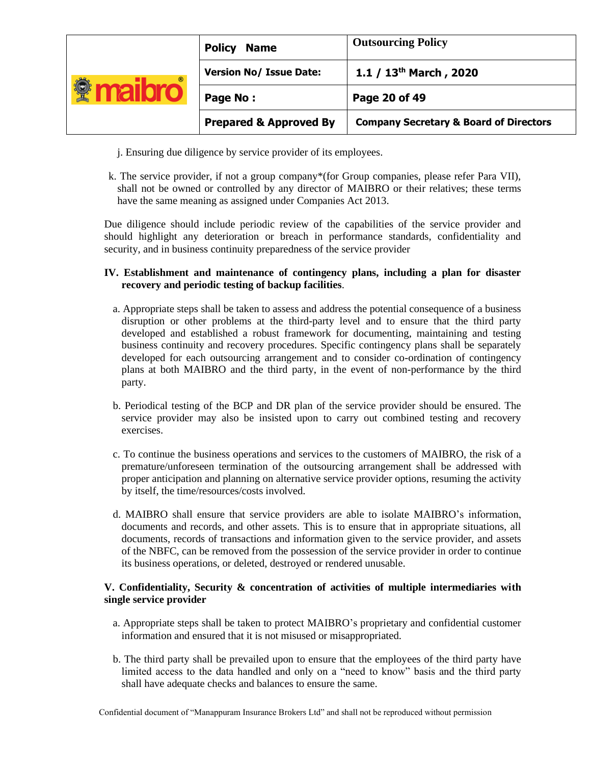| $^{\circ}$ | <b>Policy</b><br><b>Name</b>      | <b>Outsourcing Policy</b>                         |
|------------|-----------------------------------|---------------------------------------------------|
|            | <b>Version No/ Issue Date:</b>    | 1.1 / $13th$ March, 2020                          |
|            | Page No:                          | Page 20 of 49                                     |
|            | <b>Prepared &amp; Approved By</b> | <b>Company Secretary &amp; Board of Directors</b> |

- j. Ensuring due diligence by service provider of its employees.
- k. The service provider, if not a group company\*(for Group companies, please refer Para VII), shall not be owned or controlled by any director of MAIBRO or their relatives; these terms have the same meaning as assigned under Companies Act 2013.

Due diligence should include periodic review of the capabilities of the service provider and should highlight any deterioration or breach in performance standards, confidentiality and security, and in business continuity preparedness of the service provider

# **IV. Establishment and maintenance of contingency plans, including a plan for disaster recovery and periodic testing of backup facilities**.

- a. Appropriate steps shall be taken to assess and address the potential consequence of a business disruption or other problems at the third-party level and to ensure that the third party developed and established a robust framework for documenting, maintaining and testing business continuity and recovery procedures. Specific contingency plans shall be separately developed for each outsourcing arrangement and to consider co-ordination of contingency plans at both MAIBRO and the third party, in the event of non-performance by the third party.
- b. Periodical testing of the BCP and DR plan of the service provider should be ensured. The service provider may also be insisted upon to carry out combined testing and recovery exercises.
- c. To continue the business operations and services to the customers of MAIBRO, the risk of a premature/unforeseen termination of the outsourcing arrangement shall be addressed with proper anticipation and planning on alternative service provider options, resuming the activity by itself, the time/resources/costs involved.
- d. MAIBRO shall ensure that service providers are able to isolate MAIBRO's information, documents and records, and other assets. This is to ensure that in appropriate situations, all documents, records of transactions and information given to the service provider, and assets of the NBFC, can be removed from the possession of the service provider in order to continue its business operations, or deleted, destroyed or rendered unusable.

# **V. Confidentiality, Security & concentration of activities of multiple intermediaries with single service provider**

- a. Appropriate steps shall be taken to protect MAIBRO's proprietary and confidential customer information and ensured that it is not misused or misappropriated.
- b. The third party shall be prevailed upon to ensure that the employees of the third party have limited access to the data handled and only on a "need to know" basis and the third party shall have adequate checks and balances to ensure the same.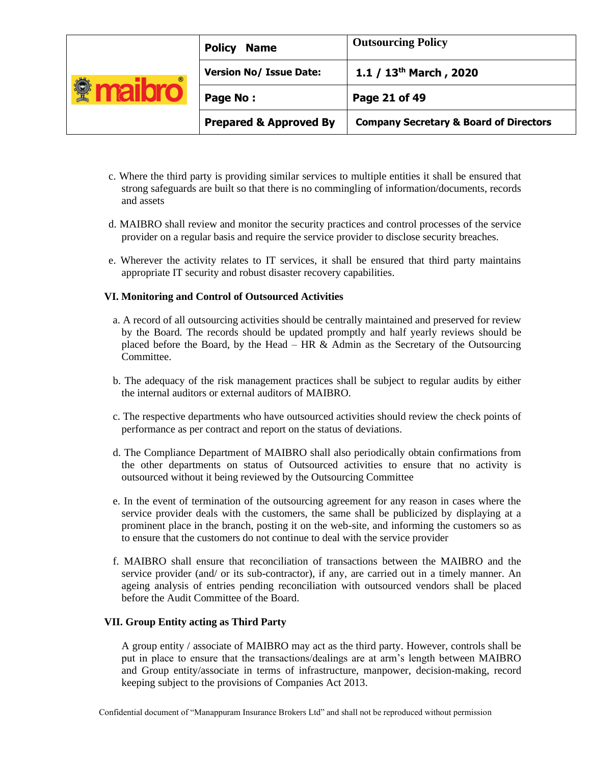| ⊛ | <b>Policy</b><br><b>Name</b>      | <b>Outsourcing Policy</b>                         |
|---|-----------------------------------|---------------------------------------------------|
|   | <b>Version No/ Issue Date:</b>    | 1.1 / $13^{th}$ March, 2020                       |
|   | Page No:                          | Page 21 of 49                                     |
|   | <b>Prepared &amp; Approved By</b> | <b>Company Secretary &amp; Board of Directors</b> |

- c. Where the third party is providing similar services to multiple entities it shall be ensured that strong safeguards are built so that there is no commingling of information/documents, records and assets
- d. MAIBRO shall review and monitor the security practices and control processes of the service provider on a regular basis and require the service provider to disclose security breaches.
- e. Wherever the activity relates to IT services, it shall be ensured that third party maintains appropriate IT security and robust disaster recovery capabilities.

#### **VI. Monitoring and Control of Outsourced Activities**

- a. A record of all outsourcing activities should be centrally maintained and preserved for review by the Board. The records should be updated promptly and half yearly reviews should be placed before the Board, by the Head – HR  $&$  Admin as the Secretary of the Outsourcing Committee.
- b. The adequacy of the risk management practices shall be subject to regular audits by either the internal auditors or external auditors of MAIBRO.
- c. The respective departments who have outsourced activities should review the check points of performance as per contract and report on the status of deviations.
- d. The Compliance Department of MAIBRO shall also periodically obtain confirmations from the other departments on status of Outsourced activities to ensure that no activity is outsourced without it being reviewed by the Outsourcing Committee
- e. In the event of termination of the outsourcing agreement for any reason in cases where the service provider deals with the customers, the same shall be publicized by displaying at a prominent place in the branch, posting it on the web-site, and informing the customers so as to ensure that the customers do not continue to deal with the service provider
- f. MAIBRO shall ensure that reconciliation of transactions between the MAIBRO and the service provider (and/ or its sub-contractor), if any, are carried out in a timely manner. An ageing analysis of entries pending reconciliation with outsourced vendors shall be placed before the Audit Committee of the Board.

#### **VII. Group Entity acting as Third Party**

A group entity / associate of MAIBRO may act as the third party. However, controls shall be put in place to ensure that the transactions/dealings are at arm's length between MAIBRO and Group entity/associate in terms of infrastructure, manpower, decision-making, record keeping subject to the provisions of Companies Act 2013.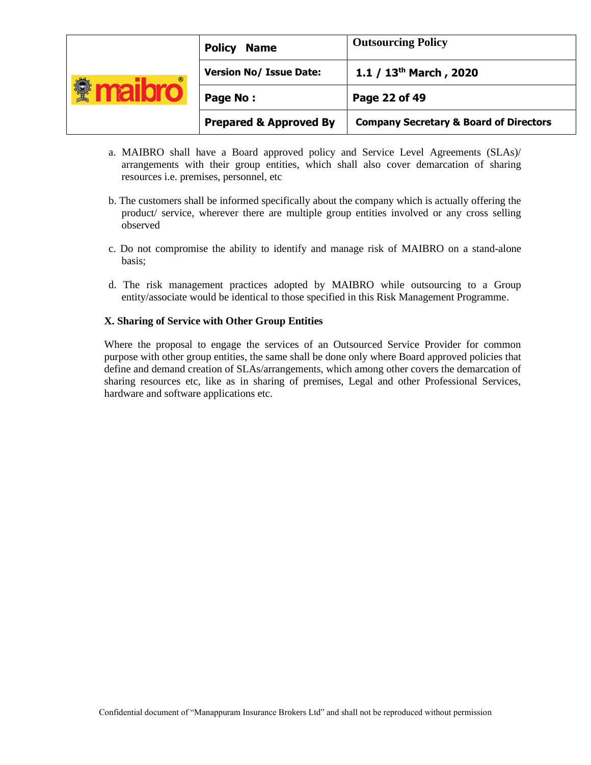| $^{\circ}$ | <b>Policy</b><br><b>Name</b>      | <b>Outsourcing Policy</b>                         |
|------------|-----------------------------------|---------------------------------------------------|
|            | <b>Version No/ Issue Date:</b>    | 1.1 / $13th$ March, 2020                          |
|            | Page No:                          | Page 22 of 49                                     |
|            | <b>Prepared &amp; Approved By</b> | <b>Company Secretary &amp; Board of Directors</b> |

- a. MAIBRO shall have a Board approved policy and Service Level Agreements (SLAs)/ arrangements with their group entities, which shall also cover demarcation of sharing resources i.e. premises, personnel, etc
- b. The customers shall be informed specifically about the company which is actually offering the product/ service, wherever there are multiple group entities involved or any cross selling observed
- c. Do not compromise the ability to identify and manage risk of MAIBRO on a stand-alone basis;
- d. The risk management practices adopted by MAIBRO while outsourcing to a Group entity/associate would be identical to those specified in this Risk Management Programme.

### **X. Sharing of Service with Other Group Entities**

Where the proposal to engage the services of an Outsourced Service Provider for common purpose with other group entities, the same shall be done only where Board approved policies that define and demand creation of SLAs/arrangements, which among other covers the demarcation of sharing resources etc, like as in sharing of premises, Legal and other Professional Services, hardware and software applications etc.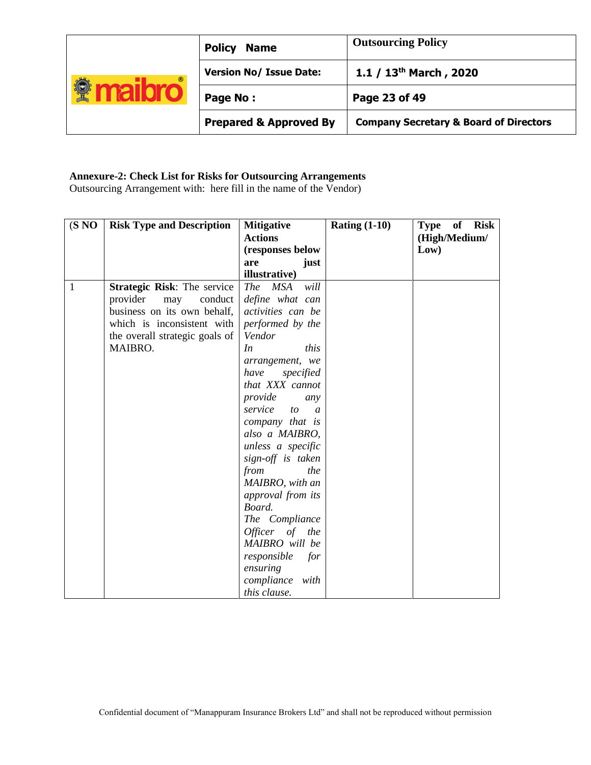| $^{\circ}$ | <b>Policy</b><br><b>Name</b>      | <b>Outsourcing Policy</b>                         |
|------------|-----------------------------------|---------------------------------------------------|
|            | <b>Version No/ Issue Date:</b>    | 1.1 / $13th$ March, 2020                          |
|            | Page No:                          | Page 23 of 49                                     |
|            | <b>Prepared &amp; Approved By</b> | <b>Company Secretary &amp; Board of Directors</b> |

# **Annexure-2: Check List for Risks for Outsourcing Arrangements**

Outsourcing Arrangement with: here fill in the name of the Vendor)

| (S NO) | <b>Risk Type and Description</b> | <b>Mitigative</b><br><b>Actions</b> | Rating $(1-10)$ | of Risk<br><b>Type</b><br>(High/Medium/ |
|--------|----------------------------------|-------------------------------------|-----------------|-----------------------------------------|
|        |                                  | (responses below                    |                 | Low)                                    |
|        |                                  | are<br>just                         |                 |                                         |
|        |                                  | illustrative)                       |                 |                                         |
| 1      | Strategic Risk: The service      | <b>The</b><br><b>MSA</b><br>will    |                 |                                         |
|        | provider<br>conduct<br>may       | define what can                     |                 |                                         |
|        | business on its own behalf,      | activities can be                   |                 |                                         |
|        | which is inconsistent with       | performed by the                    |                 |                                         |
|        | the overall strategic goals of   | Vendor                              |                 |                                         |
|        | MAIBRO.                          | In<br>this                          |                 |                                         |
|        |                                  | arrangement, we                     |                 |                                         |
|        |                                  | have<br>specified                   |                 |                                         |
|        |                                  | that XXX cannot                     |                 |                                         |
|        |                                  | provide<br>any                      |                 |                                         |
|        |                                  | service<br>to<br>$\mathfrak{a}$     |                 |                                         |
|        |                                  | company that is                     |                 |                                         |
|        |                                  | also a MAIBRO,                      |                 |                                         |
|        |                                  | unless a specific                   |                 |                                         |
|        |                                  | sign-off is taken                   |                 |                                         |
|        |                                  | from<br>the                         |                 |                                         |
|        |                                  | MAIBRO, with an                     |                 |                                         |
|        |                                  | approval from its                   |                 |                                         |
|        |                                  | Board.                              |                 |                                         |
|        |                                  | The Compliance                      |                 |                                         |
|        |                                  | Officer of the                      |                 |                                         |
|        |                                  | MAIBRO will be                      |                 |                                         |
|        |                                  | responsible<br>for                  |                 |                                         |
|        |                                  | ensuring                            |                 |                                         |
|        |                                  | compliance<br>with                  |                 |                                         |
|        |                                  | this clause.                        |                 |                                         |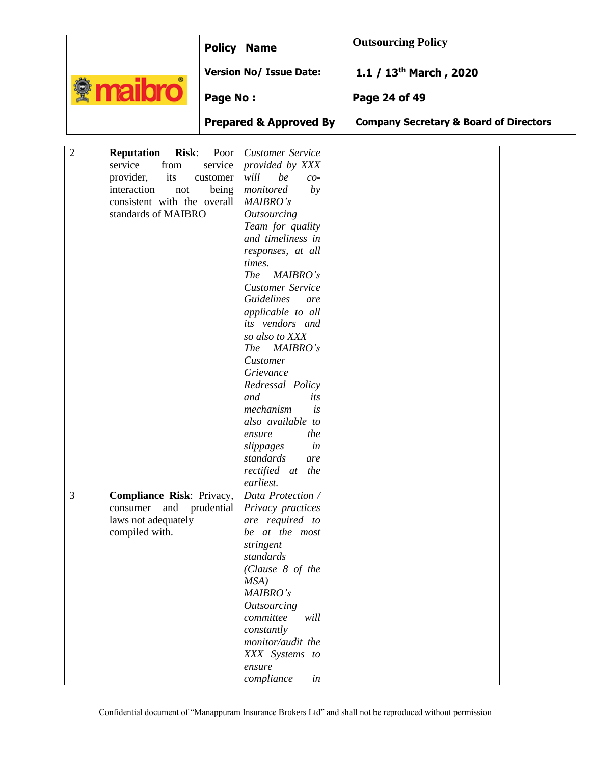|                                                |                                                                                                                                                      | <b>Policy Name</b>                   |                                                                                                                                                                                                                                                                                                                                                                                                                                                                                                                                                                 | <b>Outsourcing Policy</b>          |                                                   |  |
|------------------------------------------------|------------------------------------------------------------------------------------------------------------------------------------------------------|--------------------------------------|-----------------------------------------------------------------------------------------------------------------------------------------------------------------------------------------------------------------------------------------------------------------------------------------------------------------------------------------------------------------------------------------------------------------------------------------------------------------------------------------------------------------------------------------------------------------|------------------------------------|---------------------------------------------------|--|
|                                                |                                                                                                                                                      | <b>Version No/ Issue Date:</b>       |                                                                                                                                                                                                                                                                                                                                                                                                                                                                                                                                                                 | 1.1 / 13 <sup>th</sup> March, 2020 |                                                   |  |
| <b><i><u><b>Maibro</b></u></i></b><br>Page No: |                                                                                                                                                      |                                      | Page 24 of 49                                                                                                                                                                                                                                                                                                                                                                                                                                                                                                                                                   |                                    |                                                   |  |
|                                                |                                                                                                                                                      |                                      | <b>Prepared &amp; Approved By</b>                                                                                                                                                                                                                                                                                                                                                                                                                                                                                                                               |                                    | <b>Company Secretary &amp; Board of Directors</b> |  |
| $\overline{2}$                                 | <b>Risk:</b><br><b>Reputation</b><br>from<br>service<br>provider,<br>its<br>interaction<br>not<br>consistent with the overall<br>standards of MAIBRO | Poor<br>service<br>customer<br>being | <b>Customer Service</b><br>provided by XXX<br>be<br>will<br>$co-$<br>monitored<br>by<br>MAIBRO's<br><b>Outsourcing</b><br>Team for quality<br>and timeliness in<br>responses, at all<br>times.<br><b>The</b><br>MAIBRO's<br><b>Customer Service</b><br><b>Guidelines</b><br>are<br>applicable to all<br>its vendors and<br>so also to XXX<br>MAIBRO's<br><i>The</i><br>Customer<br>Grievance<br>Redressal Policy<br>and<br>its<br>mechanism<br>is<br>also available to<br>the<br>ensure<br>slippages<br>in<br>standards<br>are<br>rectified at the<br>earliest. |                                    |                                                   |  |
| $\overline{3}$                                 | Compliance Risk: Privacy,<br>and<br>consumer<br>laws not adequately<br>compiled with.                                                                | prudential                           | Data Protection /<br>Privacy practices<br>are required to<br>be at the most<br>stringent<br>standards<br>(Clause 8 of the<br>MSA)<br>MAIBRO's<br><b>Outsourcing</b><br>committee<br>will<br>constantly<br>monitor/audit the<br>XXX Systems to<br>ensure<br>compliance<br>in                                                                                                                                                                                                                                                                                     |                                    |                                                   |  |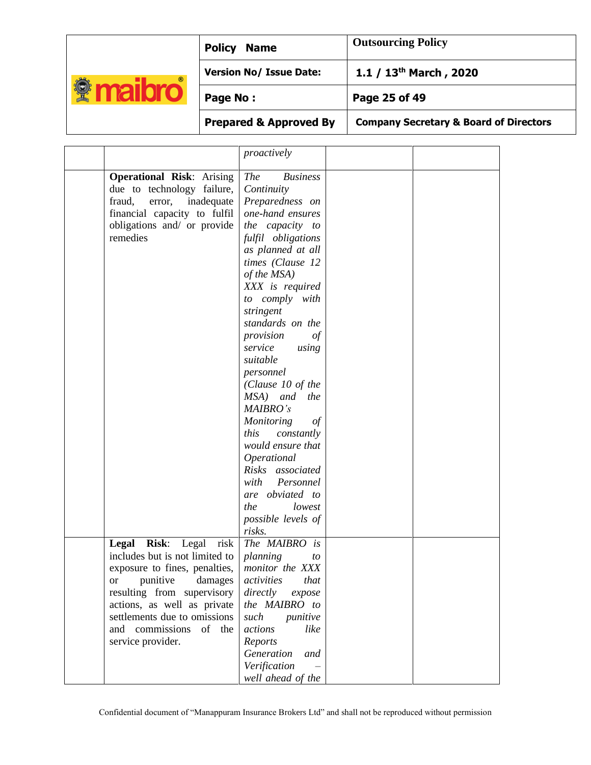|            | <b>Policy Name</b>             | <b>Outsourcing Policy</b>   |
|------------|--------------------------------|-----------------------------|
| $^{\circ}$ | <b>Version No/ Issue Date:</b> | 1.1 / $13^{th}$ March, 2020 |
|            | Page No:                       | Page 25 of 49               |
|            |                                |                             |

**Prepared & Approved By Company Secretary & Board of Directors**

|                                  | proactively                   |  |
|----------------------------------|-------------------------------|--|
|                                  |                               |  |
| <b>Operational Risk: Arising</b> | <b>The</b><br><b>Business</b> |  |
| due to technology failure,       | Continuity                    |  |
| fraud,<br>error, inadequate      | Preparedness on               |  |
| financial capacity to fulfil     | one-hand ensures              |  |
| obligations and/ or provide      | the capacity to               |  |
| remedies                         | fulfil obligations            |  |
|                                  | as planned at all             |  |
|                                  | times (Clause 12              |  |
|                                  | of the MSA)                   |  |
|                                  | XXX is required               |  |
|                                  | to comply with                |  |
|                                  | stringent                     |  |
|                                  | standards on the              |  |
|                                  | provision<br>of               |  |
|                                  | service<br>using              |  |
|                                  | suitable                      |  |
|                                  | personnel                     |  |
|                                  | (Clause 10 of the             |  |
|                                  | MSA) and<br>the               |  |
|                                  | MAIBRO's                      |  |
|                                  | <b>Monitoring</b><br>of       |  |
|                                  | this<br>constantly            |  |
|                                  | would ensure that             |  |
|                                  | Operational                   |  |
|                                  | Risks associated              |  |
|                                  | with<br>Personnel             |  |
|                                  | are obviated to               |  |
|                                  |                               |  |
|                                  | the<br>lowest                 |  |
|                                  | possible levels of            |  |
|                                  | risks.                        |  |
| Legal<br>Risk: Legal<br>risk     | The MAIBRO is                 |  |
| includes but is not limited to   | planning<br>to                |  |
| exposure to fines, penalties,    | monitor the XXX               |  |
| or punitive damages              | <i>activities</i> that        |  |
| resulting from supervisory       | directly<br>expose            |  |
| actions, as well as private      | the MAIBRO to                 |  |
| settlements due to omissions     | such<br>punitive              |  |
| and commissions<br>of the        | actions<br>like               |  |
| service provider.                | Reports                       |  |
|                                  | Generation<br>and             |  |
|                                  | Verification                  |  |
|                                  | well ahead of the             |  |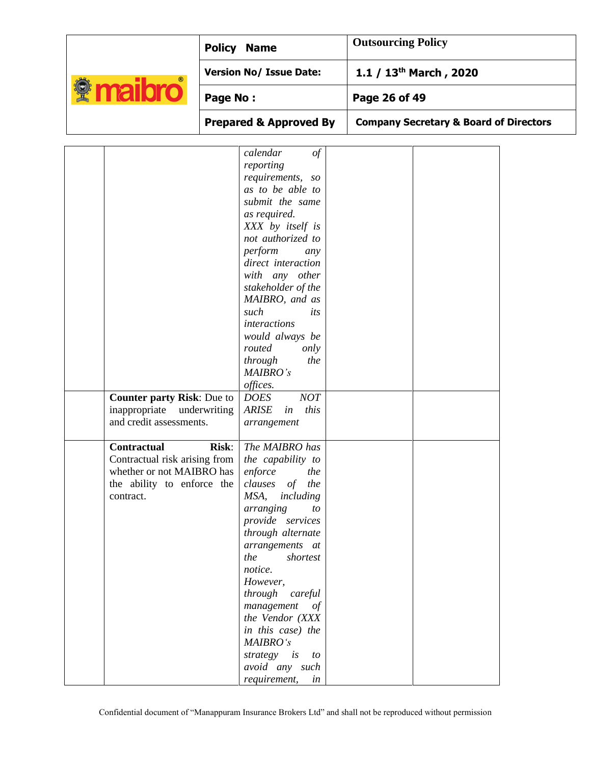|                                                                                                                             | <b>Policy Name</b>                                                                                                                                                                                                                                                                                                                                                                                                 | <b>Outsourcing Policy</b>                         |
|-----------------------------------------------------------------------------------------------------------------------------|--------------------------------------------------------------------------------------------------------------------------------------------------------------------------------------------------------------------------------------------------------------------------------------------------------------------------------------------------------------------------------------------------------------------|---------------------------------------------------|
|                                                                                                                             | <b>Version No/ Issue Date:</b>                                                                                                                                                                                                                                                                                                                                                                                     | 1.1 / 13 <sup>th</sup> March, 2020                |
| <b><i><u><b>A</b></u></i></b> maibro                                                                                        | <b>Page No:</b>                                                                                                                                                                                                                                                                                                                                                                                                    | Page 26 of 49                                     |
|                                                                                                                             | <b>Prepared &amp; Approved By</b>                                                                                                                                                                                                                                                                                                                                                                                  | <b>Company Secretary &amp; Board of Directors</b> |
| Counter party Risk: Due to                                                                                                  | calendar<br>$\sigma f$<br>reporting<br>requirements, so<br>as to be able to<br>submit the same<br>as required.<br>XXX by itself is<br>not authorized to<br>perform<br>any<br>direct interaction<br>with any other<br>stakeholder of the<br>MAIBRO, and as<br>such<br>its<br><i>interactions</i><br>would always be<br>routed<br>only<br>through<br>the<br>MAIBRO's<br>offices.<br><b>DOES</b><br>NOT               |                                                   |
| inappropriate underwriting<br>and credit assessments.                                                                       | <b>ARISE</b><br>this<br>in<br>arrangement                                                                                                                                                                                                                                                                                                                                                                          |                                                   |
| <b>Contractual</b><br>Contractual risk arising from<br>whether or not MAIBRO has<br>the ability to enforce the<br>contract. | <b>Risk:</b><br>The MAIBRO has<br>the capability to<br>enforce<br>the<br>clauses of the<br>MSA,<br>including<br>arranging<br>to<br>provide services<br>through alternate<br>arrangements at<br>the<br>shortest<br>notice.<br>However,<br>through careful<br>management of<br>the Vendor (XXX<br>in this case) the<br>MAIBRO's<br>strategy is<br>$\boldsymbol{\mathit{to}}$<br>avoid any such<br>requirement,<br>in |                                                   |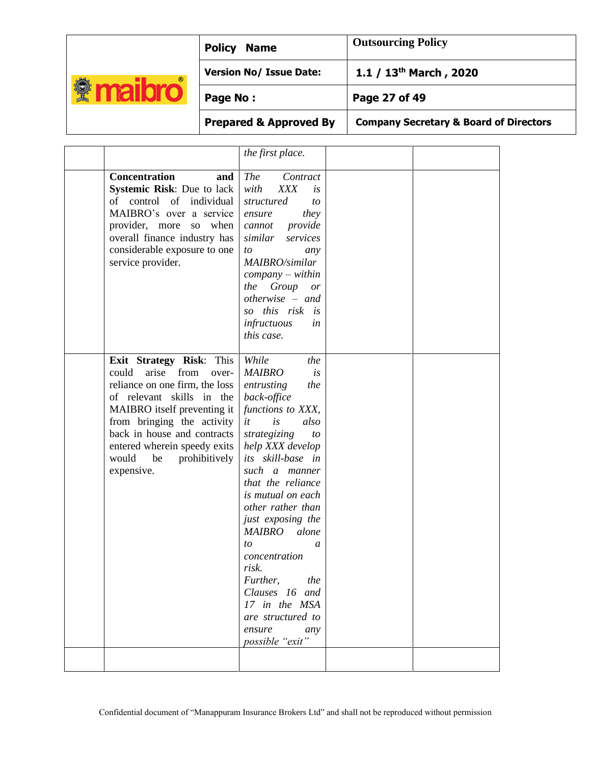| $^{\circ}$ | <b>Policy Name</b>             | <b>Outsourcing Policy</b>   |
|------------|--------------------------------|-----------------------------|
|            | <b>Version No/ Issue Date:</b> | 1.1 / $13^{th}$ March, 2020 |
|            | Page No:                       | Page 27 of 49               |
|            |                                |                             |

**Prepared & Approved By Company Secretary & Board of Directors**

|  | pany Secretary & Board of Direct |  |  |  |  |
|--|----------------------------------|--|--|--|--|
|--|----------------------------------|--|--|--|--|

|                                                                                                                                                                                                                                                                                                      | the first place.                                                                                                                                                                                                                                                                                                                                                                                                                                                             |  |
|------------------------------------------------------------------------------------------------------------------------------------------------------------------------------------------------------------------------------------------------------------------------------------------------------|------------------------------------------------------------------------------------------------------------------------------------------------------------------------------------------------------------------------------------------------------------------------------------------------------------------------------------------------------------------------------------------------------------------------------------------------------------------------------|--|
| <b>Concentration</b><br>and<br><b>Systemic Risk: Due to lack</b><br>of control of individual<br>MAIBRO's over a service<br>provider, more so when<br>overall finance industry has<br>considerable exposure to one<br>service provider.                                                               | <b>The</b><br>Contract<br>with<br><b>XXX</b><br>is<br>structured<br>to<br>they<br>ensure<br>provide<br>cannot<br>similar<br>services<br>to<br>any<br>MAIBRO/similar<br>$company - within$<br>the Group or<br>$otherwise - and$<br>so this risk<br>i <sub>S</sub><br>infructuous<br>in<br>this case.                                                                                                                                                                          |  |
| Exit Strategy Risk: This<br>could<br>arise<br>from<br>over-<br>reliance on one firm, the loss<br>of relevant skills in the<br>MAIBRO itself preventing it<br>from bringing the activity<br>back in house and contracts<br>entered wherein speedy exits<br>would<br>be<br>prohibitively<br>expensive. | While<br>the<br><b>MAIBRO</b><br>is<br>entrusting<br>the<br>back-office<br>functions to XXX,<br>it<br>is<br>also<br>strategizing<br>to<br>help XXX develop<br>its skill-base in<br>such a manner<br>that the reliance<br><i>is mutual on each</i><br>other rather than<br>just exposing the<br><b>MAIBRO</b><br>alone<br>to<br>a<br>concentration<br>risk.<br>Further, the<br>Clauses 16 and<br>17 in the MSA<br>are structured to<br>ensure any<br>possibl <u>e "exit</u> " |  |
|                                                                                                                                                                                                                                                                                                      |                                                                                                                                                                                                                                                                                                                                                                                                                                                                              |  |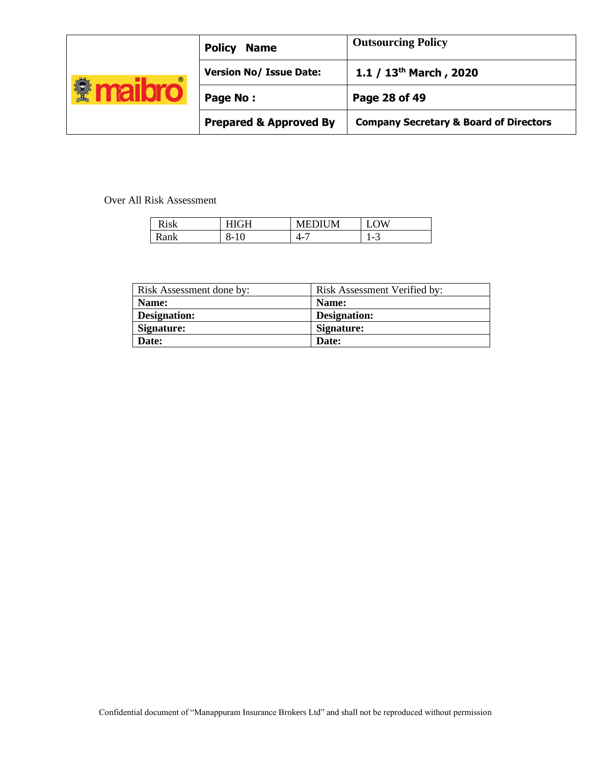| $^{\circ}$ | <b>Policy</b><br><b>Name</b>      | <b>Outsourcing Policy</b>                         |
|------------|-----------------------------------|---------------------------------------------------|
|            | <b>Version No/ Issue Date:</b>    | 1.1 / $13^{th}$ March, 2020                       |
|            | Page No:                          | Page 28 of 49                                     |
|            | <b>Prepared &amp; Approved By</b> | <b>Company Secretary &amp; Board of Directors</b> |

Over All Risk Assessment

| Dielz | ÷⊟         |    | ١И                              |
|-------|------------|----|---------------------------------|
| 'ank  | O-.<br>1 U | —— | - 1<br>$\overline{\phantom{0}}$ |

| Risk Assessment done by: | Risk Assessment Verified by: |
|--------------------------|------------------------------|
| Name:                    | Name:                        |
| Designation:             | Designation:                 |
| Signature:               | Signature:                   |
| Date:                    | Date:                        |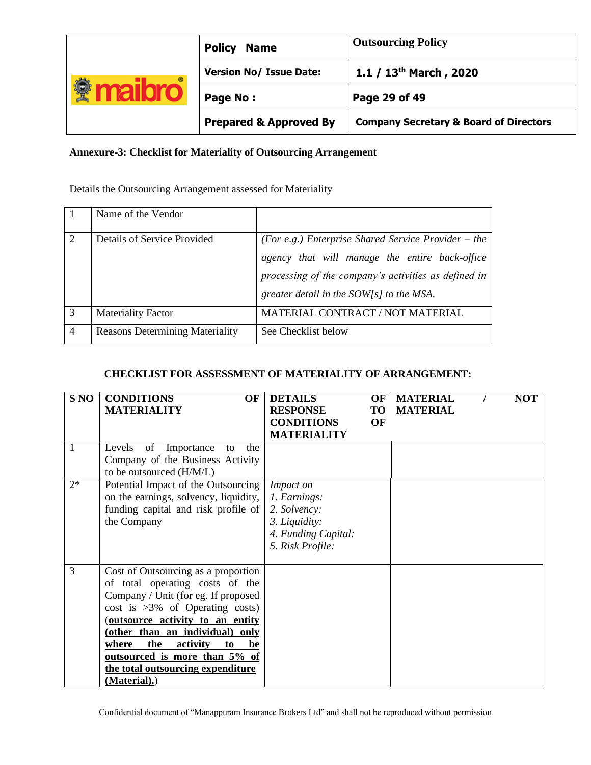|            | <b>Policy</b><br><b>Name</b>      | <b>Outsourcing Policy</b>                         |
|------------|-----------------------------------|---------------------------------------------------|
| $^{\circ}$ | <b>Version No/ Issue Date:</b>    | 1.1 / $13^{th}$ March, 2020                       |
|            | Page No:                          | Page 29 of 49                                     |
|            | <b>Prepared &amp; Approved By</b> | <b>Company Secretary &amp; Board of Directors</b> |

# **Annexure-3: Checklist for Materiality of Outsourcing Arrangement**

Details the Outsourcing Arrangement assessed for Materiality

|                | Name of the Vendor                     |                                                                                                                                                                                                             |
|----------------|----------------------------------------|-------------------------------------------------------------------------------------------------------------------------------------------------------------------------------------------------------------|
| 2              | Details of Service Provided            | (For e.g.) Enterprise Shared Service Provider – the<br>agency that will manage the entire back-office<br>processing of the company's activities as defined in<br>greater detail in the $SOW[s]$ to the MSA. |
| 3              | <b>Materiality Factor</b>              | MATERIAL CONTRACT / NOT MATERIAL                                                                                                                                                                            |
| $\overline{4}$ | <b>Reasons Determining Materiality</b> | See Checklist below                                                                                                                                                                                         |

# **CHECKLIST FOR ASSESSMENT OF MATERIALITY OF ARRANGEMENT:**

| S <sub>NO</sub> | <b>CONDITIONS</b><br>OF               | <b>DETAILS</b>      | OF | <b>MATERIAL</b> | <b>NOT</b> |
|-----------------|---------------------------------------|---------------------|----|-----------------|------------|
|                 | <b>MATERIALITY</b>                    | <b>RESPONSE</b>     | TO | <b>MATERIAL</b> |            |
|                 |                                       | <b>CONDITIONS</b>   | OF |                 |            |
|                 |                                       | <b>MATERIALITY</b>  |    |                 |            |
| 1               | of Importance<br>Levels<br>the<br>to  |                     |    |                 |            |
|                 | Company of the Business Activity      |                     |    |                 |            |
|                 | to be outsourced (H/M/L)              |                     |    |                 |            |
| $2^*$           | Potential Impact of the Outsourcing   | Impact on           |    |                 |            |
|                 | on the earnings, solvency, liquidity, | 1. Earnings:        |    |                 |            |
|                 | funding capital and risk profile of   | 2. Solvency:        |    |                 |            |
|                 | the Company                           | 3. Liquidity:       |    |                 |            |
|                 |                                       | 4. Funding Capital: |    |                 |            |
|                 |                                       | 5. Risk Profile:    |    |                 |            |
|                 |                                       |                     |    |                 |            |
| 3               | Cost of Outsourcing as a proportion   |                     |    |                 |            |
|                 | of total operating costs of the       |                     |    |                 |            |
|                 | Company / Unit (for eg. If proposed   |                     |    |                 |            |
|                 | $cost$ is $>3\%$ of Operating costs)  |                     |    |                 |            |
|                 | (outsource activity to an entity      |                     |    |                 |            |
|                 | (other than an individual) only       |                     |    |                 |            |
|                 | the<br>activity<br>where<br>be<br>to  |                     |    |                 |            |
|                 | outsourced is more than 5% of         |                     |    |                 |            |
|                 | the total outsourcing expenditure     |                     |    |                 |            |
|                 | (Material).)                          |                     |    |                 |            |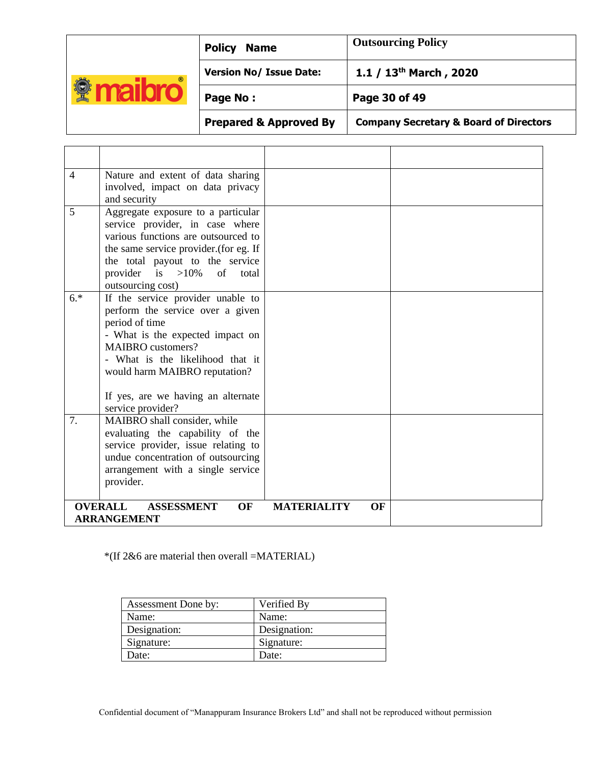|            | <b>Policy</b><br><b>Name</b>      | <b>Outsourcing Policy</b>                         |
|------------|-----------------------------------|---------------------------------------------------|
| $^{\circ}$ | <b>Version No/ Issue Date:</b>    | 1.1 / $13^{th}$ March, 2020                       |
|            | Page No:                          | Page 30 of 49                                     |
|            | <b>Prepared &amp; Approved By</b> | <b>Company Secretary &amp; Board of Directors</b> |

 $\overline{a}$ 

| $\overline{4}$ | Nature and extent of data sharing<br>involved, impact on data privacy<br>and security                                                                                                                                                                                                   |                          |  |
|----------------|-----------------------------------------------------------------------------------------------------------------------------------------------------------------------------------------------------------------------------------------------------------------------------------------|--------------------------|--|
| 5              | Aggregate exposure to a particular<br>service provider, in case where<br>various functions are outsourced to<br>the same service provider. (for eg. If<br>the total payout to the service<br>provider is $>10\%$<br>of<br>total<br>outsourcing cost)                                    |                          |  |
| $6.*$          | If the service provider unable to<br>perform the service over a given<br>period of time<br>- What is the expected impact on<br><b>MAIBRO</b> customers?<br>- What is the likelihood that it<br>would harm MAIBRO reputation?<br>If yes, are we having an alternate<br>service provider? |                          |  |
| 7.             | MAIBRO shall consider, while<br>evaluating the capability of the<br>service provider, issue relating to<br>undue concentration of outsourcing<br>arrangement with a single service<br>provider.                                                                                         |                          |  |
|                | <b>OVERALL</b><br><b>ASSESSMENT</b><br><b>OF</b><br><b>ARRANGEMENT</b>                                                                                                                                                                                                                  | <b>MATERIALITY</b><br>OF |  |

\*(If 2&6 are material then overall =MATERIAL)

| Assessment Done by: | Verified By  |
|---------------------|--------------|
| Name:               | Name:        |
| Designation:        | Designation: |
| Signature:          | Signature:   |
| Date:               | Date:        |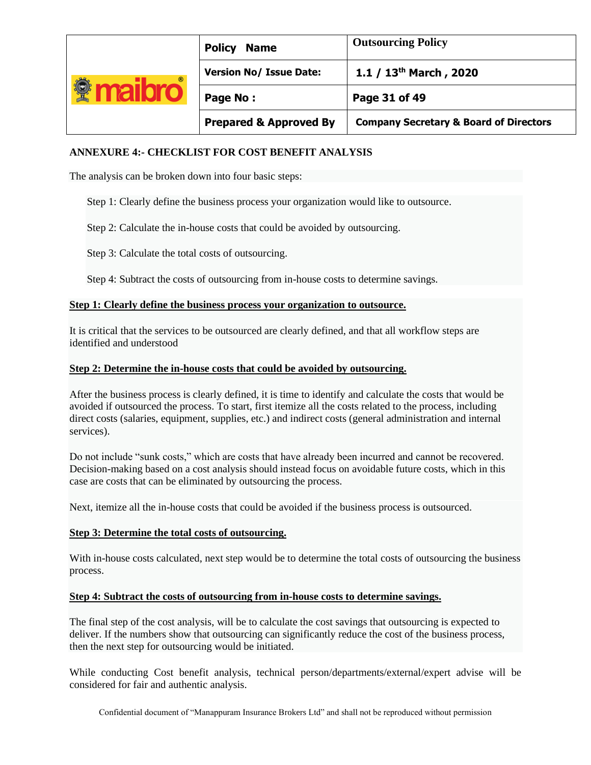|            | <b>Policy</b><br><b>Name</b>      | <b>Outsourcing Policy</b>                         |
|------------|-----------------------------------|---------------------------------------------------|
| $^{\circ}$ | <b>Version No/ Issue Date:</b>    | 1.1 / $13^{th}$ March, 2020                       |
|            | Page No:                          | Page 31 of 49                                     |
|            | <b>Prepared &amp; Approved By</b> | <b>Company Secretary &amp; Board of Directors</b> |

# **ANNEXURE 4:- CHECKLIST FOR COST BENEFIT ANALYSIS**

The analysis can be broken down into four basic steps:

- Step 1: Clearly define the business process your organization would like to outsource.
- Step 2: Calculate the in-house costs that could be avoided by outsourcing.

Step 3: Calculate the total costs of outsourcing.

Step 4: Subtract the costs of outsourcing from in-house costs to determine savings.

### **Step 1: Clearly define the business process your organization to outsource.**

It is critical that the services to be outsourced are clearly defined, and that all workflow steps are identified and understood

#### **Step 2: Determine the in-house costs that could be avoided by outsourcing.**

After the business process is clearly defined, it is time to identify and calculate the costs that would be avoided if outsourced the process. To start, first itemize all the costs related to the process, including direct costs (salaries, equipment, supplies, etc.) and indirect costs (general administration and internal services).

Do not include "sunk costs," which are costs that have already been incurred and cannot be recovered. Decision-making based on a cost analysis should instead focus on avoidable future costs, which in this case are costs that can be eliminated by outsourcing the process.

Next, itemize all the in-house costs that could be avoided if the business process is outsourced.

#### **Step 3: Determine the total costs of outsourcing.**

With in-house costs calculated, next step would be to determine the total costs of outsourcing the business process.

#### **Step 4: Subtract the costs of outsourcing from in-house costs to determine savings.**

The final step of the cost analysis, will be to calculate the cost savings that outsourcing is expected to deliver. If the numbers show that outsourcing can significantly reduce the cost of the business process, then the next step for outsourcing would be initiated.

While conducting Cost benefit analysis, technical person/departments/external/expert advise will be considered for fair and authentic analysis.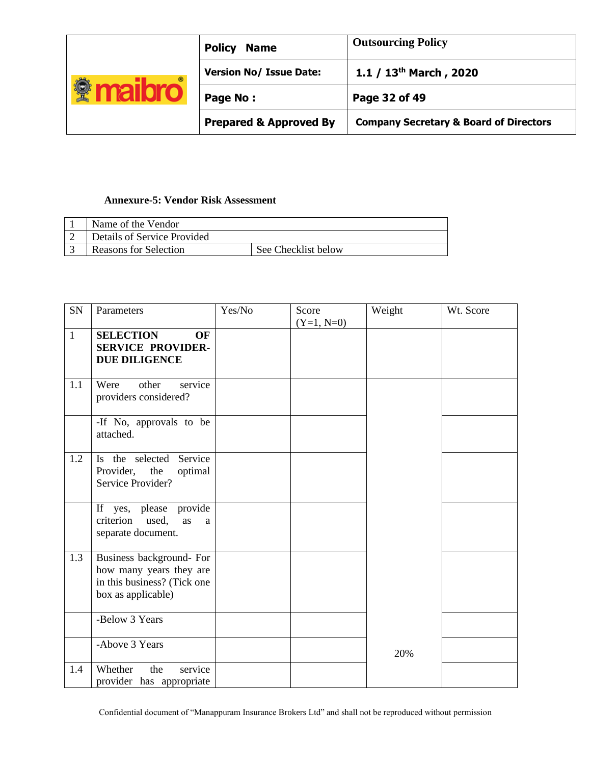|            | <b>Policy</b><br><b>Name</b>      | <b>Outsourcing Policy</b>                         |
|------------|-----------------------------------|---------------------------------------------------|
| $^{\circ}$ | <b>Version No/ Issue Date:</b>    | 1.1 / $13^{th}$ March, 2020                       |
|            | Page No:                          | Page 32 of 49                                     |
|            | <b>Prepared &amp; Approved By</b> | <b>Company Secretary &amp; Board of Directors</b> |

# **Annexure-5: Vendor Risk Assessment**

| Name of the Vendor          |                     |
|-----------------------------|---------------------|
| Details of Service Provided |                     |
| Reasons for Selection       | See Checklist below |

| SN           | Parameters                                                                                               | Yes/No | Score<br>$(Y=1, N=0)$ | Weight | Wt. Score |
|--------------|----------------------------------------------------------------------------------------------------------|--------|-----------------------|--------|-----------|
| $\mathbf{1}$ | <b>SELECTION</b><br>OF<br><b>SERVICE PROVIDER-</b><br><b>DUE DILIGENCE</b>                               |        |                       |        |           |
| 1.1          | Were<br>other<br>service<br>providers considered?                                                        |        |                       |        |           |
|              | -If No, approvals to be<br>attached.                                                                     |        |                       |        |           |
| 1.2          | Is the selected Service<br>Provider,<br>the<br>optimal<br>Service Provider?                              |        |                       |        |           |
|              | If yes, please provide<br>criterion<br>used,<br>as<br>a<br>separate document.                            |        |                       |        |           |
| 1.3          | Business background- For<br>how many years they are<br>in this business? (Tick one<br>box as applicable) |        |                       |        |           |
|              | -Below 3 Years                                                                                           |        |                       |        |           |
|              | -Above 3 Years                                                                                           |        |                       | 20%    |           |
| 1.4          | Whether<br>the<br>service<br>provider has appropriate                                                    |        |                       |        |           |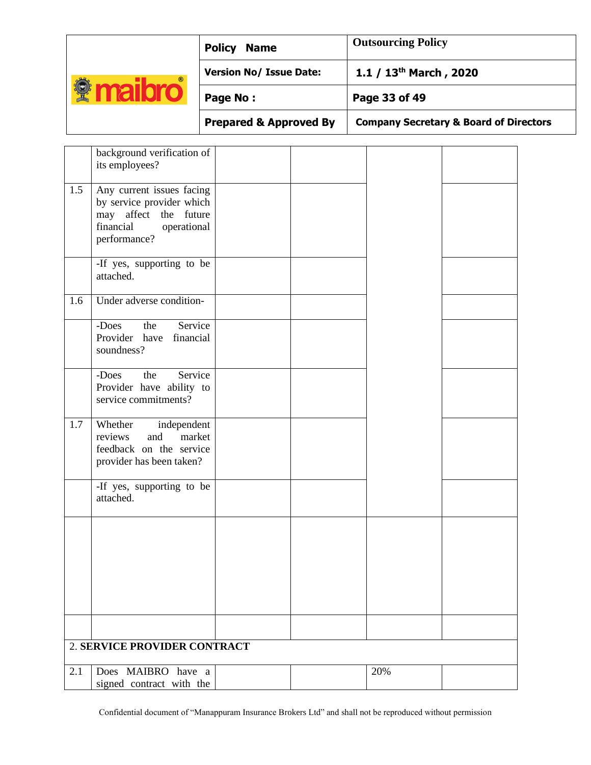|            | <b>Policy</b><br><b>Name</b>      | <b>Outsourcing Policy</b>                         |
|------------|-----------------------------------|---------------------------------------------------|
| $^{\circ}$ | <b>Version No/ Issue Date:</b>    | 1.1 / $13^{th}$ March, 2020                       |
| ğ          | Page No:                          | Page 33 of 49                                     |
|            | <b>Prepared &amp; Approved By</b> | <b>Company Secretary &amp; Board of Directors</b> |

|     | background verification of<br>its employees?                                                                                |  |     |  |
|-----|-----------------------------------------------------------------------------------------------------------------------------|--|-----|--|
| 1.5 | Any current issues facing<br>by service provider which<br>may affect the future<br>financial<br>operational<br>performance? |  |     |  |
|     | -If yes, supporting to be<br>attached.                                                                                      |  |     |  |
| 1.6 | Under adverse condition-                                                                                                    |  |     |  |
|     | the<br>Service<br>-Does<br>Provider have<br>financial<br>soundness?                                                         |  |     |  |
|     | Service<br>-Does<br>the<br>Provider have ability to<br>service commitments?                                                 |  |     |  |
| 1.7 | Whether independent<br>reviews<br>and<br>market<br>feedback on the service<br>provider has been taken?                      |  |     |  |
|     | -If yes, supporting to be<br>attached.                                                                                      |  |     |  |
|     |                                                                                                                             |  |     |  |
|     |                                                                                                                             |  |     |  |
|     |                                                                                                                             |  |     |  |
|     | 2. SERVICE PROVIDER CONTRACT                                                                                                |  |     |  |
| 2.1 | Does MAIBRO have a<br>signed contract with the                                                                              |  | 20% |  |
|     |                                                                                                                             |  |     |  |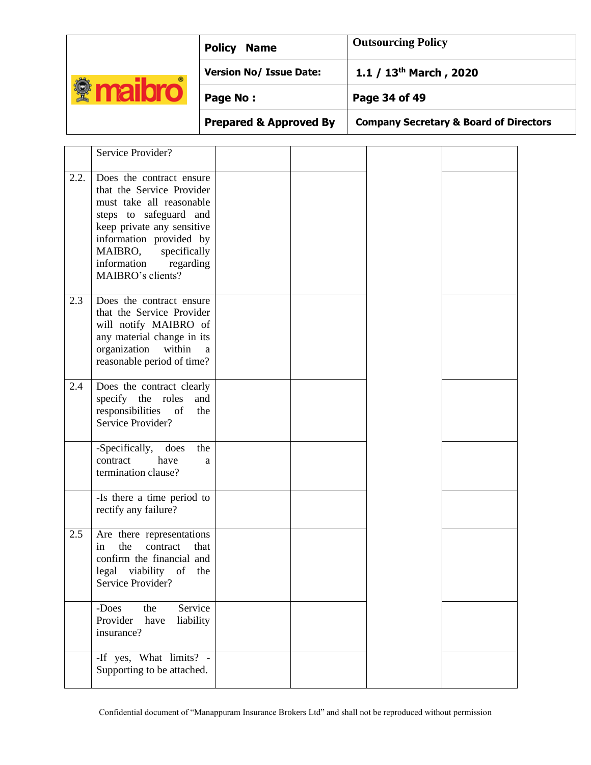| $^{\circ}$<br>$\mathbb{R}$ | <b>Policy</b><br><b>Name</b>      | <b>Outsourcing Policy</b>                         |
|----------------------------|-----------------------------------|---------------------------------------------------|
|                            | <b>Version No/ Issue Date:</b>    | 1.1 / $13^{th}$ March, 2020                       |
|                            | Page No:                          | Page 34 of 49                                     |
|                            | <b>Prepared &amp; Approved By</b> | <b>Company Secretary &amp; Board of Directors</b> |

|      | Service Provider?                                                                                                                                                                                                                          |  |  |
|------|--------------------------------------------------------------------------------------------------------------------------------------------------------------------------------------------------------------------------------------------|--|--|
| 2.2. | Does the contract ensure<br>that the Service Provider<br>must take all reasonable<br>steps to safeguard and<br>keep private any sensitive<br>information provided by<br>MAIBRO, specifically<br>information regarding<br>MAIBRO's clients? |  |  |
| 2.3  | Does the contract ensure<br>that the Service Provider<br>will notify MAIBRO of<br>any material change in its<br>organization within<br>$\mathbf{a}$<br>reasonable period of time?                                                          |  |  |
| 2.4  | Does the contract clearly<br>specify the roles<br>and<br>responsibilities<br>of<br>the<br>Service Provider?                                                                                                                                |  |  |
|      | -Specifically,<br>does<br>the<br>have<br>contract<br>a<br>termination clause?                                                                                                                                                              |  |  |
|      | -Is there a time period to<br>rectify any failure?                                                                                                                                                                                         |  |  |
| 2.5  | Are there representations<br>the<br>in<br>contract<br>that<br>confirm the financial and<br>legal viability of the<br>Service Provider?                                                                                                     |  |  |
|      | -Does<br>the<br>Service<br>Provider<br>have<br>liability<br>insurance?                                                                                                                                                                     |  |  |
|      | -If yes, What $\lim$ its? -<br>Supporting to be attached.                                                                                                                                                                                  |  |  |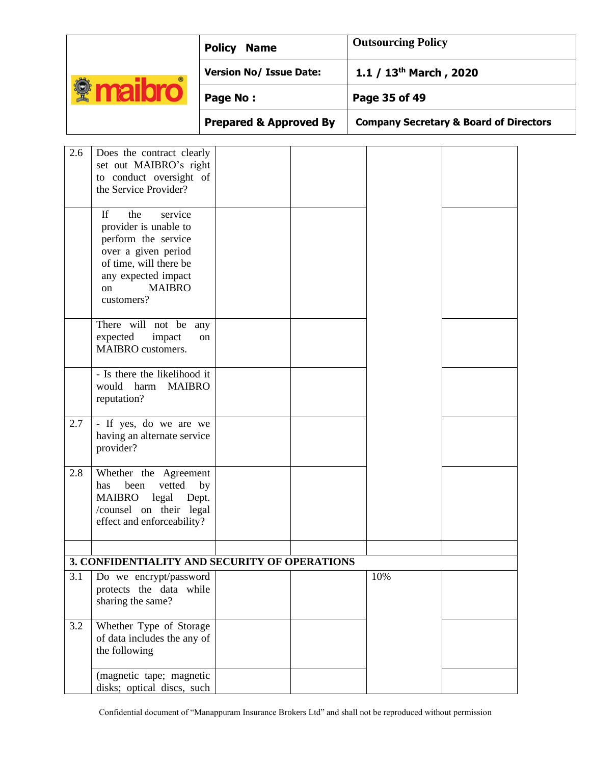|     |                                                                                                                                                                                             | <b>Policy Name</b>                |  | <b>Outsourcing Policy</b> |                                                   |  |
|-----|---------------------------------------------------------------------------------------------------------------------------------------------------------------------------------------------|-----------------------------------|--|---------------------------|---------------------------------------------------|--|
|     |                                                                                                                                                                                             | <b>Version No/ Issue Date:</b>    |  | 1.1 / $13th$ March, 2020  |                                                   |  |
|     | <b><i><u><b>Maibro</b></u></i></b>                                                                                                                                                          | Page No:                          |  | Page 35 of 49             |                                                   |  |
|     |                                                                                                                                                                                             | <b>Prepared &amp; Approved By</b> |  |                           | <b>Company Secretary &amp; Board of Directors</b> |  |
| 2.6 | Does the contract clearly<br>set out MAIBRO's right<br>to conduct oversight of<br>the Service Provider?                                                                                     |                                   |  |                           |                                                   |  |
|     | $\mathbf{H}$<br>the<br>service<br>provider is unable to<br>perform the service<br>over a given period<br>of time, will there be<br>any expected impact<br><b>MAIBRO</b><br>on<br>customers? |                                   |  |                           |                                                   |  |
|     | There will not be any<br>expected<br>impact<br>MAIBRO customers.                                                                                                                            | on                                |  |                           |                                                   |  |
|     | - Is there the likelihood it<br>would harm<br><b>MAIBRO</b><br>reputation?                                                                                                                  |                                   |  |                           |                                                   |  |
| 2.7 | - If yes, do we are we<br>having an alternate service<br>provider?                                                                                                                          |                                   |  |                           |                                                   |  |
| 2.8 | Whether the Agreement<br>vetted<br>been<br>has<br><b>MAIBRO</b><br>legal<br>Dept.<br>/counsel on their legal<br>effect and enforceability?                                                  | by                                |  |                           |                                                   |  |
|     | 3. CONFIDENTIALITY AND SECURITY OF OPERATIONS                                                                                                                                               |                                   |  |                           |                                                   |  |
| 3.1 | Do we encrypt/password<br>protects the data while<br>sharing the same?                                                                                                                      |                                   |  | 10%                       |                                                   |  |
| 3.2 | Whether Type of Storage<br>of data includes the any of<br>the following                                                                                                                     |                                   |  |                           |                                                   |  |
|     | (magnetic tape; magnetic<br>disks; optical discs, such                                                                                                                                      |                                   |  |                           |                                                   |  |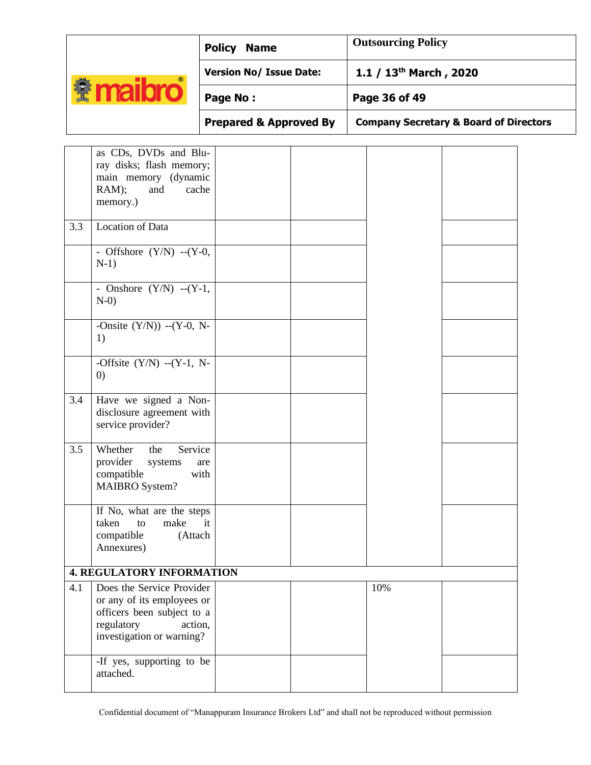| $^{\circ}$<br>¥ | <b>Policy</b><br><b>Name</b>      | <b>Outsourcing Policy</b>                         |
|-----------------|-----------------------------------|---------------------------------------------------|
|                 | <b>Version No/ Issue Date:</b>    | 1.1 / $13^{th}$ March, 2020                       |
|                 | Page No:                          | Page 36 of 49                                     |
|                 | <b>Prepared &amp; Approved By</b> | <b>Company Secretary &amp; Board of Directors</b> |

|     | as CDs, DVDs and Blu-<br>ray disks; flash memory;<br>main memory (dynamic<br>RAM);<br>and<br>cache<br>memory.)                              |  |     |  |
|-----|---------------------------------------------------------------------------------------------------------------------------------------------|--|-----|--|
| 3.3 | Location of Data                                                                                                                            |  |     |  |
|     | - Offshore $(Y/N)$ -- $(Y-0,$<br>$N-1)$                                                                                                     |  |     |  |
|     | - Onshore $(Y/N)$ -- $(Y-1)$ ,<br>$N-0$                                                                                                     |  |     |  |
|     | -Onsite $(Y/N)$ ) -- $(Y-0, N-$<br>1)                                                                                                       |  |     |  |
|     | -Offsite $(Y/N)$ -- $(Y-1, N-$<br>$\left( 0\right)$                                                                                         |  |     |  |
| 3.4 | Have we signed a Non-<br>disclosure agreement with<br>service provider?                                                                     |  |     |  |
| 3.5 | Whether<br>Service<br>the<br>provider<br>systems<br>are<br>compatible<br>with<br><b>MAIBRO</b> System?                                      |  |     |  |
|     | If No, what are the steps<br>make<br>taken<br>to<br>it<br>compatible<br>(Attach<br>Annexures)                                               |  |     |  |
|     | <b>4. REGULATORY INFORMATION</b>                                                                                                            |  |     |  |
| 4.1 | Does the Service Provider<br>or any of its employees or<br>officers been subject to a<br>regulatory<br>action,<br>investigation or warning? |  | 10% |  |
|     | -If yes, supporting to be<br>attached.                                                                                                      |  |     |  |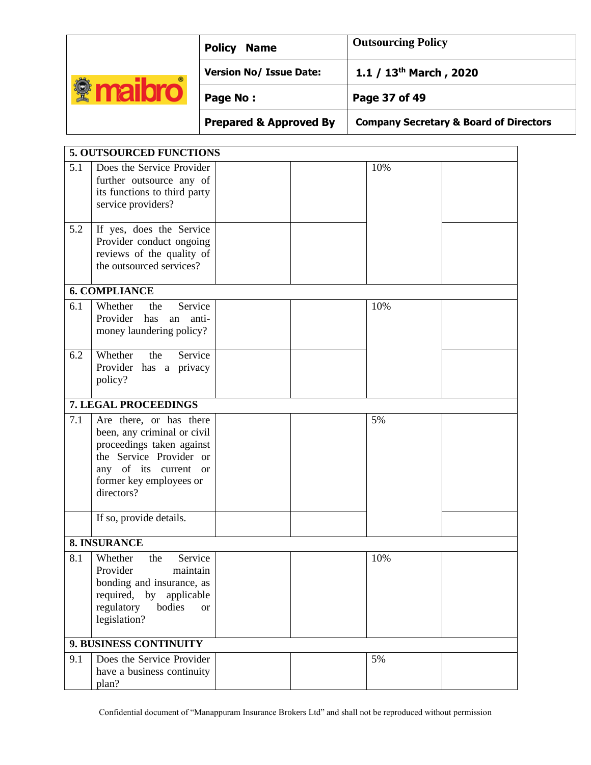| $^{\circ}$ | <b>Policy</b><br><b>Name</b>      | <b>Outsourcing Policy</b>                         |
|------------|-----------------------------------|---------------------------------------------------|
|            | <b>Version No/ Issue Date:</b>    | 1.1 / $13th$ March, 2020                          |
|            | Page No:                          | Page 37 of 49                                     |
|            | <b>Prepared &amp; Approved By</b> | <b>Company Secretary &amp; Board of Directors</b> |

|     | <b>5. OUTSOURCED FUNCTIONS</b>                                                                                                                                                   |     |  |
|-----|----------------------------------------------------------------------------------------------------------------------------------------------------------------------------------|-----|--|
| 5.1 | Does the Service Provider<br>further outsource any of<br>its functions to third party<br>service providers?                                                                      | 10% |  |
| 5.2 | If yes, does the Service<br>Provider conduct ongoing<br>reviews of the quality of<br>the outsourced services?                                                                    |     |  |
|     | <b>6. COMPLIANCE</b>                                                                                                                                                             |     |  |
| 6.1 | Whether<br>Service<br>the<br>Provider<br>has<br>anti-<br>an<br>money laundering policy?                                                                                          | 10% |  |
| 6.2 | Whether<br>Service<br>the<br>Provider has a privacy<br>policy?                                                                                                                   |     |  |
|     | 7. LEGAL PROCEEDINGS                                                                                                                                                             |     |  |
| 7.1 | Are there, or has there<br>been, any criminal or civil<br>proceedings taken against<br>the Service Provider or<br>any of its current or<br>former key employees or<br>directors? | 5%  |  |
|     | If so, provide details.                                                                                                                                                          |     |  |
|     | 8. INSURANCE                                                                                                                                                                     |     |  |
| 8.1 | Whether<br>Service<br>the<br>Provider<br>maintain<br>bonding and insurance, as<br>required, by applicable<br>regulatory<br>bodies<br><sub>or</sub><br>legislation?               | 10% |  |
|     | 9. BUSINESS CONTINUITY                                                                                                                                                           |     |  |
| 9.1 | Does the Service Provider<br>have a business continuity<br>plan?                                                                                                                 | 5%  |  |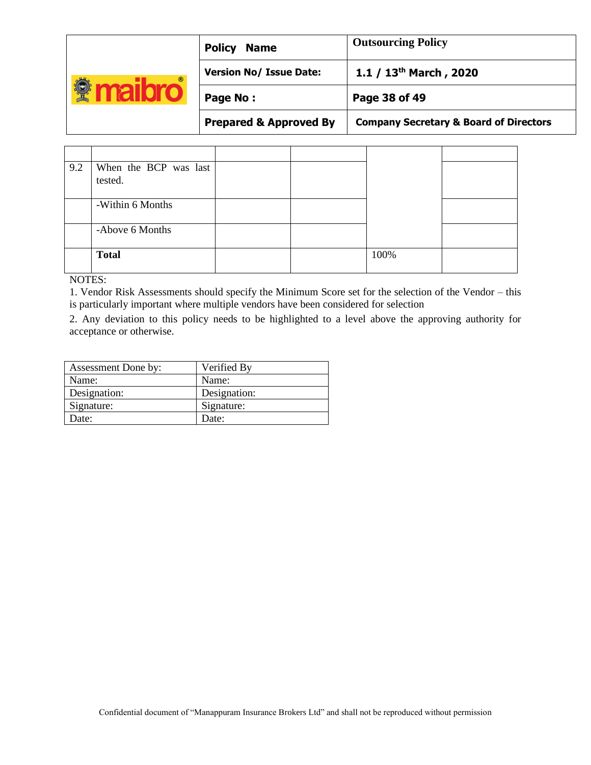| $^{\circ}$ | <b>Policy</b><br><b>Name</b>      | <b>Outsourcing Policy</b>                         |
|------------|-----------------------------------|---------------------------------------------------|
|            | <b>Version No/ Issue Date:</b>    | 1.1 / $13^{th}$ March, 2020                       |
|            | Page No:                          | Page 38 of 49                                     |
|            | <b>Prepared &amp; Approved By</b> | <b>Company Secretary &amp; Board of Directors</b> |

| 9.2 | When the BCP was last<br>tested. |  |      |  |
|-----|----------------------------------|--|------|--|
|     |                                  |  |      |  |
|     | -Within 6 Months                 |  |      |  |
|     | -Above 6 Months                  |  |      |  |
|     | <b>Total</b>                     |  | 100% |  |

NOTES:

1. Vendor Risk Assessments should specify the Minimum Score set for the selection of the Vendor – this is particularly important where multiple vendors have been considered for selection

2. Any deviation to this policy needs to be highlighted to a level above the approving authority for acceptance or otherwise.

| Assessment Done by: | Verified By  |
|---------------------|--------------|
| Name:               | Name:        |
| Designation:        | Designation: |
| Signature:          | Signature:   |
| Date:               | Date:        |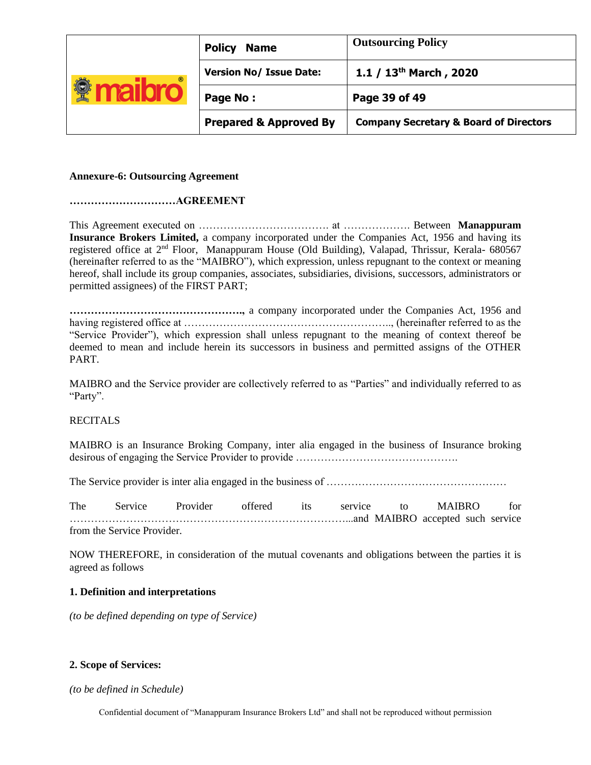| $^{\circ}$ | <b>Policy</b><br><b>Name</b>      | <b>Outsourcing Policy</b>                         |
|------------|-----------------------------------|---------------------------------------------------|
|            | <b>Version No/ Issue Date:</b>    | 1.1 / $13th$ March, 2020                          |
|            | Page No:                          | Page 39 of 49                                     |
|            | <b>Prepared &amp; Approved By</b> | <b>Company Secretary &amp; Board of Directors</b> |

#### **Annexure-6: Outsourcing Agreement**

#### **…………………………AGREEMENT**

This Agreement executed on ………………………………. at ………………. Between **Manappuram Insurance Brokers Limited,** a company incorporated under the Companies Act, 1956 and having its registered office at 2<sup>nd</sup> Floor, Manappuram House (Old Building), Valapad, Thrissur, Kerala- 680567 (hereinafter referred to as the "MAIBRO"), which expression, unless repugnant to the context or meaning hereof, shall include its group companies, associates, subsidiaries, divisions, successors, administrators or permitted assignees) of the FIRST PART;

**………………………………………….,** a company incorporated under the Companies Act, 1956 and having registered office at ………………………………………………….., (hereinafter referred to as the "Service Provider"), which expression shall unless repugnant to the meaning of context thereof be deemed to mean and include herein its successors in business and permitted assigns of the OTHER PART.

MAIBRO and the Service provider are collectively referred to as "Parties" and individually referred to as "Party".

### **RECITALS**

MAIBRO is an Insurance Broking Company, inter alia engaged in the business of Insurance broking desirous of engaging the Service Provider to provide ……………………………………….

The Service provider is inter alia engaged in the business of ……………………………………………

The Service Provider offered its service to MAIBRO for ……………………………………………………………………...and MAIBRO accepted such service from the Service Provider.

NOW THEREFORE, in consideration of the mutual covenants and obligations between the parties it is agreed as follows

### **1. Definition and interpretations**

*(to be defined depending on type of Service)* 

#### **2. Scope of Services:**

*(to be defined in Schedule)*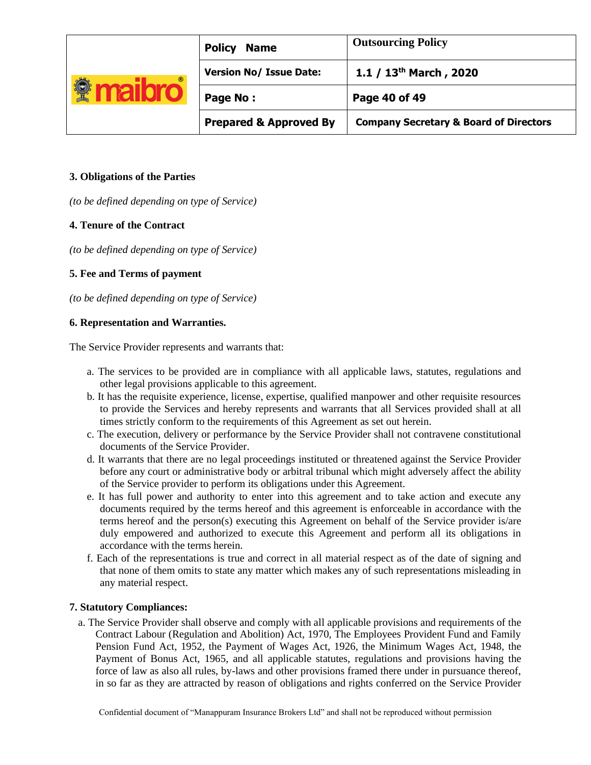|            | <b>Policy</b><br><b>Name</b>      | <b>Outsourcing Policy</b>                         |
|------------|-----------------------------------|---------------------------------------------------|
| $^{\circ}$ | <b>Version No/ Issue Date:</b>    | 1.1 / $13^{th}$ March, 2020                       |
|            | Page No:                          | Page 40 of 49                                     |
|            | <b>Prepared &amp; Approved By</b> | <b>Company Secretary &amp; Board of Directors</b> |

# **3. Obligations of the Parties**

*(to be defined depending on type of Service)*

# **4. Tenure of the Contract**

*(to be defined depending on type of Service)* 

# **5. Fee and Terms of payment**

*(to be defined depending on type of Service)* 

# **6. Representation and Warranties.**

The Service Provider represents and warrants that:

- a. The services to be provided are in compliance with all applicable laws, statutes, regulations and other legal provisions applicable to this agreement.
- b. It has the requisite experience, license, expertise, qualified manpower and other requisite resources to provide the Services and hereby represents and warrants that all Services provided shall at all times strictly conform to the requirements of this Agreement as set out herein.
- c. The execution, delivery or performance by the Service Provider shall not contravene constitutional documents of the Service Provider.
- d. It warrants that there are no legal proceedings instituted or threatened against the Service Provider before any court or administrative body or arbitral tribunal which might adversely affect the ability of the Service provider to perform its obligations under this Agreement.
- e. It has full power and authority to enter into this agreement and to take action and execute any documents required by the terms hereof and this agreement is enforceable in accordance with the terms hereof and the person(s) executing this Agreement on behalf of the Service provider is/are duly empowered and authorized to execute this Agreement and perform all its obligations in accordance with the terms herein.
- f. Each of the representations is true and correct in all material respect as of the date of signing and that none of them omits to state any matter which makes any of such representations misleading in any material respect.

### **7. Statutory Compliances:**

a. The Service Provider shall observe and comply with all applicable provisions and requirements of the Contract Labour (Regulation and Abolition) Act, 1970, The Employees Provident Fund and Family Pension Fund Act, 1952, the Payment of Wages Act, 1926, the Minimum Wages Act, 1948, the Payment of Bonus Act, 1965, and all applicable statutes, regulations and provisions having the force of law as also all rules, by-laws and other provisions framed there under in pursuance thereof, in so far as they are attracted by reason of obligations and rights conferred on the Service Provider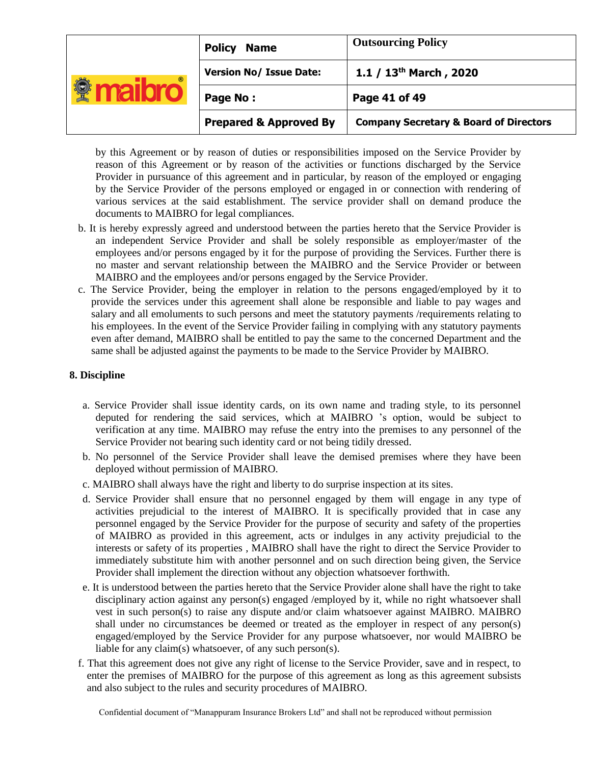| $^{\circ}$ | <b>Policy</b><br><b>Name</b>      | <b>Outsourcing Policy</b>                         |
|------------|-----------------------------------|---------------------------------------------------|
|            | <b>Version No/ Issue Date:</b>    | 1.1 / $13^{th}$ March, 2020                       |
|            | Page No:                          | Page 41 of 49                                     |
|            | <b>Prepared &amp; Approved By</b> | <b>Company Secretary &amp; Board of Directors</b> |

by this Agreement or by reason of duties or responsibilities imposed on the Service Provider by reason of this Agreement or by reason of the activities or functions discharged by the Service Provider in pursuance of this agreement and in particular, by reason of the employed or engaging by the Service Provider of the persons employed or engaged in or connection with rendering of various services at the said establishment. The service provider shall on demand produce the documents to MAIBRO for legal compliances.

- b. It is hereby expressly agreed and understood between the parties hereto that the Service Provider is an independent Service Provider and shall be solely responsible as employer/master of the employees and/or persons engaged by it for the purpose of providing the Services. Further there is no master and servant relationship between the MAIBRO and the Service Provider or between MAIBRO and the employees and/or persons engaged by the Service Provider.
- c. The Service Provider, being the employer in relation to the persons engaged/employed by it to provide the services under this agreement shall alone be responsible and liable to pay wages and salary and all emoluments to such persons and meet the statutory payments /requirements relating to his employees. In the event of the Service Provider failing in complying with any statutory payments even after demand, MAIBRO shall be entitled to pay the same to the concerned Department and the same shall be adjusted against the payments to be made to the Service Provider by MAIBRO.

# **8. Discipline**

- a. Service Provider shall issue identity cards, on its own name and trading style, to its personnel deputed for rendering the said services, which at MAIBRO 's option, would be subject to verification at any time. MAIBRO may refuse the entry into the premises to any personnel of the Service Provider not bearing such identity card or not being tidily dressed.
- b. No personnel of the Service Provider shall leave the demised premises where they have been deployed without permission of MAIBRO.
- c. MAIBRO shall always have the right and liberty to do surprise inspection at its sites.
- d. Service Provider shall ensure that no personnel engaged by them will engage in any type of activities prejudicial to the interest of MAIBRO. It is specifically provided that in case any personnel engaged by the Service Provider for the purpose of security and safety of the properties of MAIBRO as provided in this agreement, acts or indulges in any activity prejudicial to the interests or safety of its properties , MAIBRO shall have the right to direct the Service Provider to immediately substitute him with another personnel and on such direction being given, the Service Provider shall implement the direction without any objection whatsoever forthwith.
- e. It is understood between the parties hereto that the Service Provider alone shall have the right to take disciplinary action against any person(s) engaged /employed by it, while no right whatsoever shall vest in such person(s) to raise any dispute and/or claim whatsoever against MAIBRO. MAIBRO shall under no circumstances be deemed or treated as the employer in respect of any person(s) engaged/employed by the Service Provider for any purpose whatsoever, nor would MAIBRO be liable for any claim(s) whatsoever, of any such person(s).
- f. That this agreement does not give any right of license to the Service Provider, save and in respect, to enter the premises of MAIBRO for the purpose of this agreement as long as this agreement subsists and also subject to the rules and security procedures of MAIBRO.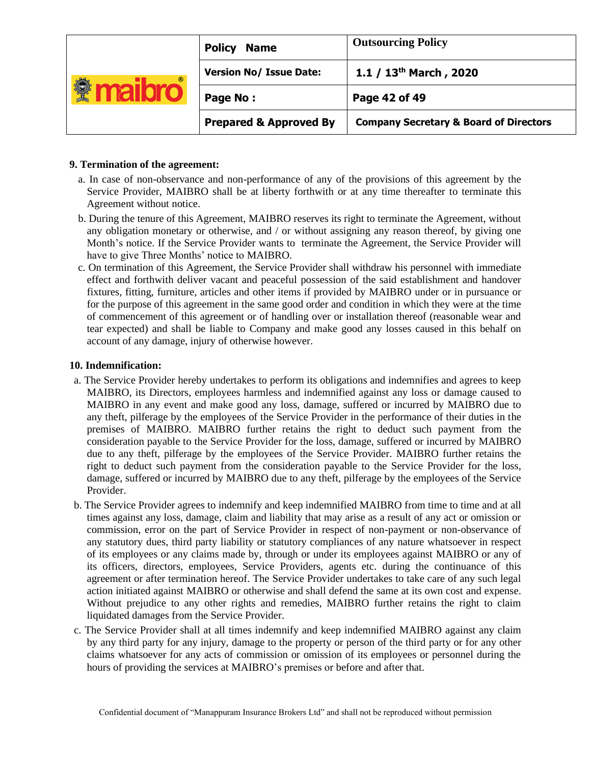| $^{\circ}$ | <b>Policy</b><br><b>Name</b>      | <b>Outsourcing Policy</b>                         |
|------------|-----------------------------------|---------------------------------------------------|
|            | <b>Version No/ Issue Date:</b>    | 1.1 / $13^{th}$ March, 2020                       |
|            | Page No:                          | Page 42 of 49                                     |
|            | <b>Prepared &amp; Approved By</b> | <b>Company Secretary &amp; Board of Directors</b> |

## **9. Termination of the agreement:**

- a. In case of non-observance and non-performance of any of the provisions of this agreement by the Service Provider, MAIBRO shall be at liberty forthwith or at any time thereafter to terminate this Agreement without notice.
- b. During the tenure of this Agreement, MAIBRO reserves its right to terminate the Agreement, without any obligation monetary or otherwise, and / or without assigning any reason thereof, by giving one Month's notice. If the Service Provider wants to terminate the Agreement, the Service Provider will have to give Three Months' notice to MAIBRO.
- c. On termination of this Agreement, the Service Provider shall withdraw his personnel with immediate effect and forthwith deliver vacant and peaceful possession of the said establishment and handover fixtures, fitting, furniture, articles and other items if provided by MAIBRO under or in pursuance or for the purpose of this agreement in the same good order and condition in which they were at the time of commencement of this agreement or of handling over or installation thereof (reasonable wear and tear expected) and shall be liable to Company and make good any losses caused in this behalf on account of any damage, injury of otherwise however.

# **10. Indemnification:**

- a. The Service Provider hereby undertakes to perform its obligations and indemnifies and agrees to keep MAIBRO, its Directors, employees harmless and indemnified against any loss or damage caused to MAIBRO in any event and make good any loss, damage, suffered or incurred by MAIBRO due to any theft, pilferage by the employees of the Service Provider in the performance of their duties in the premises of MAIBRO. MAIBRO further retains the right to deduct such payment from the consideration payable to the Service Provider for the loss, damage, suffered or incurred by MAIBRO due to any theft, pilferage by the employees of the Service Provider. MAIBRO further retains the right to deduct such payment from the consideration payable to the Service Provider for the loss, damage, suffered or incurred by MAIBRO due to any theft, pilferage by the employees of the Service Provider.
- b. The Service Provider agrees to indemnify and keep indemnified MAIBRO from time to time and at all times against any loss, damage, claim and liability that may arise as a result of any act or omission or commission, error on the part of Service Provider in respect of non-payment or non-observance of any statutory dues, third party liability or statutory compliances of any nature whatsoever in respect of its employees or any claims made by, through or under its employees against MAIBRO or any of its officers, directors, employees, Service Providers, agents etc. during the continuance of this agreement or after termination hereof. The Service Provider undertakes to take care of any such legal action initiated against MAIBRO or otherwise and shall defend the same at its own cost and expense. Without prejudice to any other rights and remedies, MAIBRO further retains the right to claim liquidated damages from the Service Provider.
- c. The Service Provider shall at all times indemnify and keep indemnified MAIBRO against any claim by any third party for any injury, damage to the property or person of the third party or for any other claims whatsoever for any acts of commission or omission of its employees or personnel during the hours of providing the services at MAIBRO's premises or before and after that.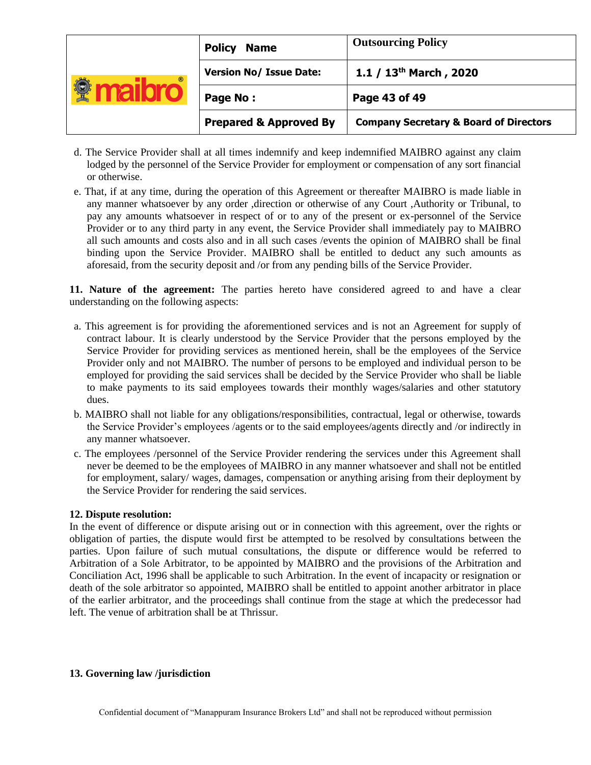| $^{\circ}$ | <b>Policy</b><br><b>Name</b>      | <b>Outsourcing Policy</b>                         |
|------------|-----------------------------------|---------------------------------------------------|
|            | <b>Version No/ Issue Date:</b>    | 1.1 / $13th$ March, 2020                          |
|            | Page No:                          | Page 43 of 49                                     |
|            | <b>Prepared &amp; Approved By</b> | <b>Company Secretary &amp; Board of Directors</b> |

- d. The Service Provider shall at all times indemnify and keep indemnified MAIBRO against any claim lodged by the personnel of the Service Provider for employment or compensation of any sort financial or otherwise.
- e. That, if at any time, during the operation of this Agreement or thereafter MAIBRO is made liable in any manner whatsoever by any order ,direction or otherwise of any Court ,Authority or Tribunal, to pay any amounts whatsoever in respect of or to any of the present or ex-personnel of the Service Provider or to any third party in any event, the Service Provider shall immediately pay to MAIBRO all such amounts and costs also and in all such cases /events the opinion of MAIBRO shall be final binding upon the Service Provider. MAIBRO shall be entitled to deduct any such amounts as aforesaid, from the security deposit and /or from any pending bills of the Service Provider.

**11. Nature of the agreement:** The parties hereto have considered agreed to and have a clear understanding on the following aspects:

- a. This agreement is for providing the aforementioned services and is not an Agreement for supply of contract labour. It is clearly understood by the Service Provider that the persons employed by the Service Provider for providing services as mentioned herein, shall be the employees of the Service Provider only and not MAIBRO. The number of persons to be employed and individual person to be employed for providing the said services shall be decided by the Service Provider who shall be liable to make payments to its said employees towards their monthly wages/salaries and other statutory dues.
- b. MAIBRO shall not liable for any obligations/responsibilities, contractual, legal or otherwise, towards the Service Provider's employees /agents or to the said employees/agents directly and /or indirectly in any manner whatsoever.
- c. The employees /personnel of the Service Provider rendering the services under this Agreement shall never be deemed to be the employees of MAIBRO in any manner whatsoever and shall not be entitled for employment, salary/ wages, damages, compensation or anything arising from their deployment by the Service Provider for rendering the said services.

### **12. Dispute resolution:**

In the event of difference or dispute arising out or in connection with this agreement, over the rights or obligation of parties, the dispute would first be attempted to be resolved by consultations between the parties. Upon failure of such mutual consultations, the dispute or difference would be referred to Arbitration of a Sole Arbitrator, to be appointed by MAIBRO and the provisions of the Arbitration and Conciliation Act, 1996 shall be applicable to such Arbitration. In the event of incapacity or resignation or death of the sole arbitrator so appointed, MAIBRO shall be entitled to appoint another arbitrator in place of the earlier arbitrator, and the proceedings shall continue from the stage at which the predecessor had left. The venue of arbitration shall be at Thrissur.

#### **13. Governing law /jurisdiction**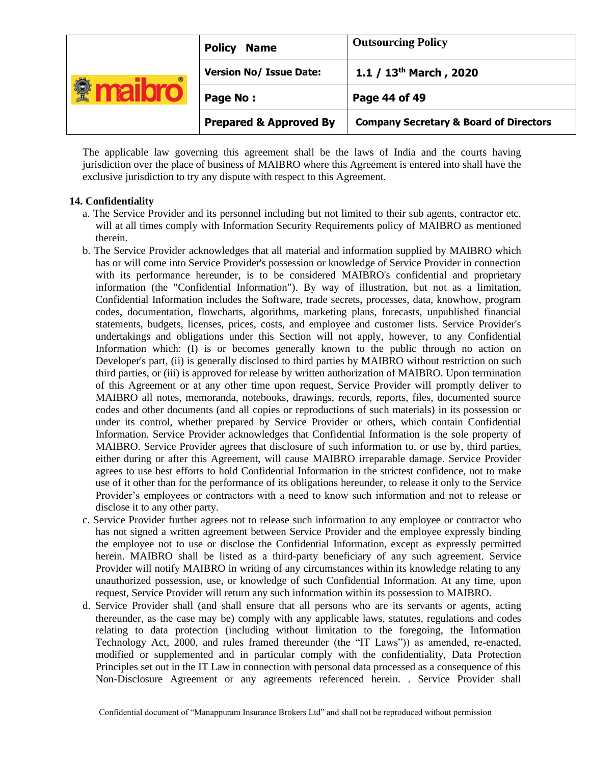| $^{\circ}$ | <b>Policy</b><br><b>Name</b>      | <b>Outsourcing Policy</b>                         |
|------------|-----------------------------------|---------------------------------------------------|
|            | <b>Version No/ Issue Date:</b>    | 1.1 / $13^{th}$ March, 2020                       |
|            | Page No:                          | Page 44 of 49                                     |
|            | <b>Prepared &amp; Approved By</b> | <b>Company Secretary &amp; Board of Directors</b> |

The applicable law governing this agreement shall be the laws of India and the courts having jurisdiction over the place of business of MAIBRO where this Agreement is entered into shall have the exclusive jurisdiction to try any dispute with respect to this Agreement.

# **14. Confidentiality**

- a. The Service Provider and its personnel including but not limited to their sub agents, contractor etc. will at all times comply with Information Security Requirements policy of MAIBRO as mentioned therein.
- b. The Service Provider acknowledges that all material and information supplied by MAIBRO which has or will come into Service Provider's possession or knowledge of Service Provider in connection with its performance hereunder, is to be considered MAIBRO's confidential and proprietary information (the "Confidential Information"). By way of illustration, but not as a limitation, Confidential Information includes the Software, trade secrets, processes, data, knowhow, program codes, documentation, flowcharts, algorithms, marketing plans, forecasts, unpublished financial statements, budgets, licenses, prices, costs, and employee and customer lists. Service Provider's undertakings and obligations under this Section will not apply, however, to any Confidential Information which: (I) is or becomes generally known to the public through no action on Developer's part, (ii) is generally disclosed to third parties by MAIBRO without restriction on such third parties, or (iii) is approved for release by written authorization of MAIBRO. Upon termination of this Agreement or at any other time upon request, Service Provider will promptly deliver to MAIBRO all notes, memoranda, notebooks, drawings, records, reports, files, documented source codes and other documents (and all copies or reproductions of such materials) in its possession or under its control, whether prepared by Service Provider or others, which contain Confidential Information. Service Provider acknowledges that Confidential Information is the sole property of MAIBRO. Service Provider agrees that disclosure of such information to, or use by, third parties, either during or after this Agreement, will cause MAIBRO irreparable damage. Service Provider agrees to use best efforts to hold Confidential Information in the strictest confidence, not to make use of it other than for the performance of its obligations hereunder, to release it only to the Service Provider's employees or contractors with a need to know such information and not to release or disclose it to any other party.
- c. Service Provider further agrees not to release such information to any employee or contractor who has not signed a written agreement between Service Provider and the employee expressly binding the employee not to use or disclose the Confidential Information, except as expressly permitted herein. MAIBRO shall be listed as a third-party beneficiary of any such agreement. Service Provider will notify MAIBRO in writing of any circumstances within its knowledge relating to any unauthorized possession, use, or knowledge of such Confidential Information. At any time, upon request, Service Provider will return any such information within its possession to MAIBRO.
- d. Service Provider shall (and shall ensure that all persons who are its servants or agents, acting thereunder, as the case may be) comply with any applicable laws, statutes, regulations and codes relating to data protection (including without limitation to the foregoing, the Information Technology Act, 2000, and rules framed thereunder (the "IT Laws")) as amended, re-enacted, modified or supplemented and in particular comply with the confidentiality, Data Protection Principles set out in the IT Law in connection with personal data processed as a consequence of this Non-Disclosure Agreement or any agreements referenced herein. . Service Provider shall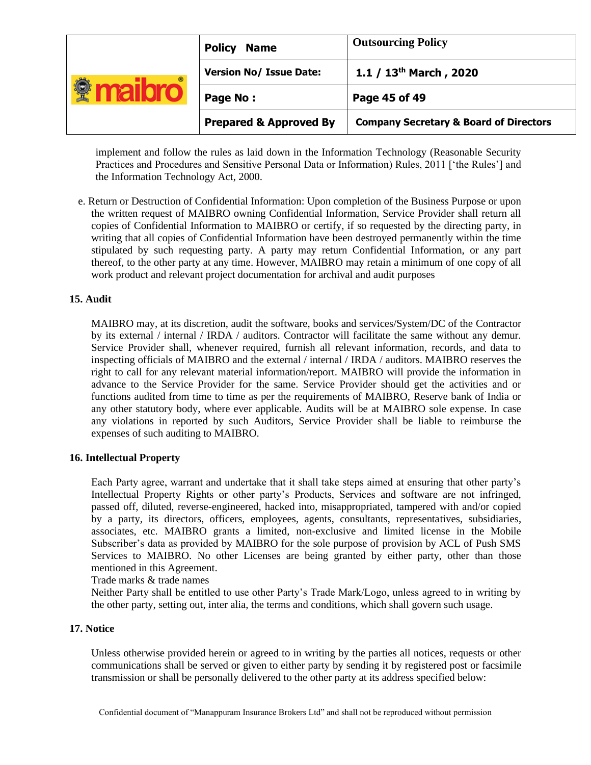| $^{\circ}$ | <b>Policy</b><br><b>Name</b>      | <b>Outsourcing Policy</b>                         |
|------------|-----------------------------------|---------------------------------------------------|
|            | <b>Version No/ Issue Date:</b>    | 1.1 / $13th$ March, 2020                          |
|            | Page No:                          | Page 45 of 49                                     |
|            | <b>Prepared &amp; Approved By</b> | <b>Company Secretary &amp; Board of Directors</b> |

implement and follow the rules as laid down in the Information Technology (Reasonable Security Practices and Procedures and Sensitive Personal Data or Information) Rules, 2011 ['the Rules'] and the Information Technology Act, 2000.

e. Return or Destruction of Confidential Information: Upon completion of the Business Purpose or upon the written request of MAIBRO owning Confidential Information, Service Provider shall return all copies of Confidential Information to MAIBRO or certify, if so requested by the directing party, in writing that all copies of Confidential Information have been destroyed permanently within the time stipulated by such requesting party. A party may return Confidential Information, or any part thereof, to the other party at any time. However, MAIBRO may retain a minimum of one copy of all work product and relevant project documentation for archival and audit purposes

### **15. Audit**

MAIBRO may, at its discretion, audit the software, books and services/System/DC of the Contractor by its external / internal / IRDA / auditors. Contractor will facilitate the same without any demur. Service Provider shall, whenever required, furnish all relevant information, records, and data to inspecting officials of MAIBRO and the external / internal / IRDA / auditors. MAIBRO reserves the right to call for any relevant material information/report. MAIBRO will provide the information in advance to the Service Provider for the same. Service Provider should get the activities and or functions audited from time to time as per the requirements of MAIBRO, Reserve bank of India or any other statutory body, where ever applicable. Audits will be at MAIBRO sole expense. In case any violations in reported by such Auditors, Service Provider shall be liable to reimburse the expenses of such auditing to MAIBRO.

### **16. Intellectual Property**

Each Party agree, warrant and undertake that it shall take steps aimed at ensuring that other party's Intellectual Property Rights or other party's Products, Services and software are not infringed, passed off, diluted, reverse-engineered, hacked into, misappropriated, tampered with and/or copied by a party, its directors, officers, employees, agents, consultants, representatives, subsidiaries, associates, etc. MAIBRO grants a limited, non-exclusive and limited license in the Mobile Subscriber's data as provided by MAIBRO for the sole purpose of provision by ACL of Push SMS Services to MAIBRO. No other Licenses are being granted by either party, other than those mentioned in this Agreement.

Trade marks & trade names

Neither Party shall be entitled to use other Party's Trade Mark/Logo, unless agreed to in writing by the other party, setting out, inter alia, the terms and conditions, which shall govern such usage.

# **17. Notice**

Unless otherwise provided herein or agreed to in writing by the parties all notices, requests or other communications shall be served or given to either party by sending it by registered post or facsimile transmission or shall be personally delivered to the other party at its address specified below: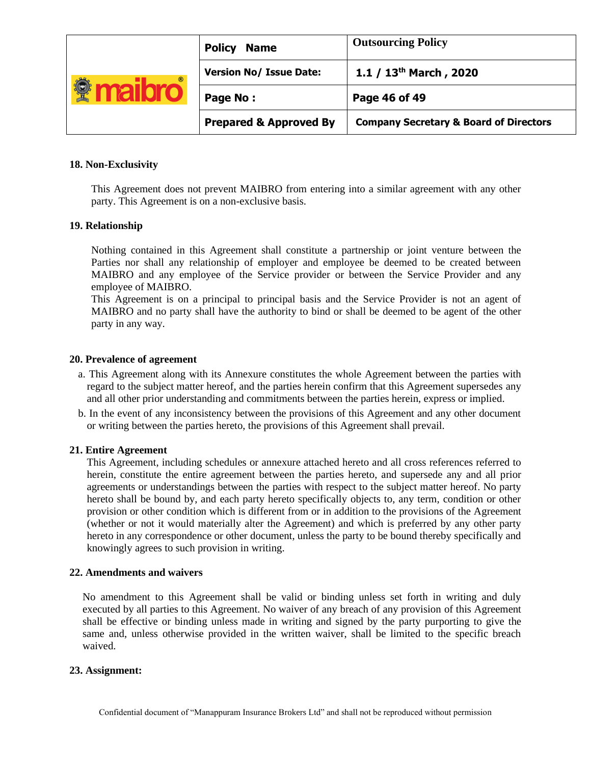|            | <b>Policy</b><br><b>Name</b>      | <b>Outsourcing Policy</b>                         |
|------------|-----------------------------------|---------------------------------------------------|
| $^{\circ}$ | <b>Version No/ Issue Date:</b>    | 1.1 / $13th$ March, 2020                          |
|            | Page No:                          | Page 46 of 49                                     |
|            | <b>Prepared &amp; Approved By</b> | <b>Company Secretary &amp; Board of Directors</b> |

## **18. Non-Exclusivity**

This Agreement does not prevent MAIBRO from entering into a similar agreement with any other party. This Agreement is on a non-exclusive basis.

### **19. Relationship**

Nothing contained in this Agreement shall constitute a partnership or joint venture between the Parties nor shall any relationship of employer and employee be deemed to be created between MAIBRO and any employee of the Service provider or between the Service Provider and any employee of MAIBRO.

This Agreement is on a principal to principal basis and the Service Provider is not an agent of MAIBRO and no party shall have the authority to bind or shall be deemed to be agent of the other party in any way.

#### **20. Prevalence of agreement**

- a. This Agreement along with its Annexure constitutes the whole Agreement between the parties with regard to the subject matter hereof, and the parties herein confirm that this Agreement supersedes any and all other prior understanding and commitments between the parties herein, express or implied.
- b. In the event of any inconsistency between the provisions of this Agreement and any other document or writing between the parties hereto, the provisions of this Agreement shall prevail.

#### **21. Entire Agreement**

This Agreement, including schedules or annexure attached hereto and all cross references referred to herein, constitute the entire agreement between the parties hereto, and supersede any and all prior agreements or understandings between the parties with respect to the subject matter hereof. No party hereto shall be bound by, and each party hereto specifically objects to, any term, condition or other provision or other condition which is different from or in addition to the provisions of the Agreement (whether or not it would materially alter the Agreement) and which is preferred by any other party hereto in any correspondence or other document, unless the party to be bound thereby specifically and knowingly agrees to such provision in writing.

#### **22. Amendments and waivers**

No amendment to this Agreement shall be valid or binding unless set forth in writing and duly executed by all parties to this Agreement. No waiver of any breach of any provision of this Agreement shall be effective or binding unless made in writing and signed by the party purporting to give the same and, unless otherwise provided in the written waiver, shall be limited to the specific breach waived.

#### **23. Assignment:**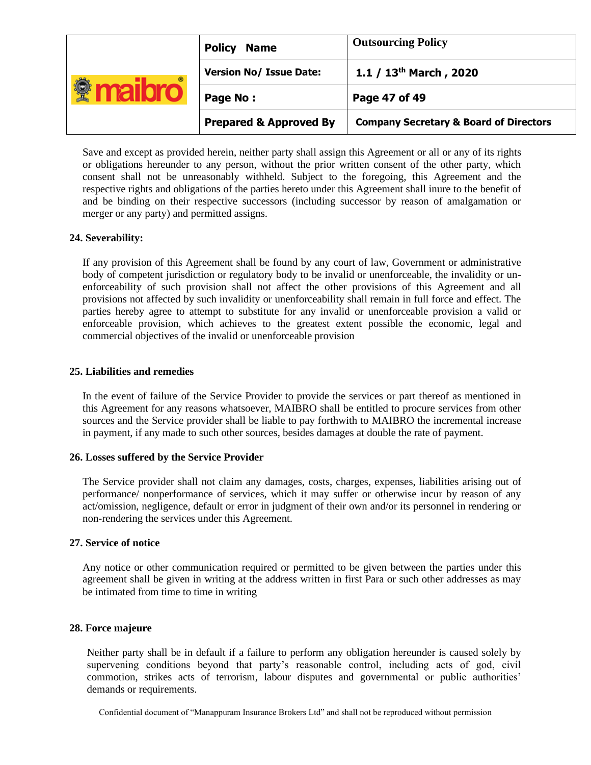| $^{\circ}$ | <b>Policy</b><br><b>Name</b>      | <b>Outsourcing Policy</b>                         |
|------------|-----------------------------------|---------------------------------------------------|
|            | <b>Version No/ Issue Date:</b>    | 1.1 / $13^{th}$ March, 2020                       |
|            | Page No:                          | Page 47 of 49                                     |
|            | <b>Prepared &amp; Approved By</b> | <b>Company Secretary &amp; Board of Directors</b> |

Save and except as provided herein, neither party shall assign this Agreement or all or any of its rights or obligations hereunder to any person, without the prior written consent of the other party, which consent shall not be unreasonably withheld. Subject to the foregoing, this Agreement and the respective rights and obligations of the parties hereto under this Agreement shall inure to the benefit of and be binding on their respective successors (including successor by reason of amalgamation or merger or any party) and permitted assigns.

### **24. Severability:**

If any provision of this Agreement shall be found by any court of law, Government or administrative body of competent jurisdiction or regulatory body to be invalid or unenforceable, the invalidity or unenforceability of such provision shall not affect the other provisions of this Agreement and all provisions not affected by such invalidity or unenforceability shall remain in full force and effect. The parties hereby agree to attempt to substitute for any invalid or unenforceable provision a valid or enforceable provision, which achieves to the greatest extent possible the economic, legal and commercial objectives of the invalid or unenforceable provision

### **25. Liabilities and remedies**

In the event of failure of the Service Provider to provide the services or part thereof as mentioned in this Agreement for any reasons whatsoever, MAIBRO shall be entitled to procure services from other sources and the Service provider shall be liable to pay forthwith to MAIBRO the incremental increase in payment, if any made to such other sources, besides damages at double the rate of payment.

### **26. Losses suffered by the Service Provider**

The Service provider shall not claim any damages, costs, charges, expenses, liabilities arising out of performance/ nonperformance of services, which it may suffer or otherwise incur by reason of any act/omission, negligence, default or error in judgment of their own and/or its personnel in rendering or non-rendering the services under this Agreement.

### **27. Service of notice**

Any notice or other communication required or permitted to be given between the parties under this agreement shall be given in writing at the address written in first Para or such other addresses as may be intimated from time to time in writing

### **28. Force majeure**

Neither party shall be in default if a failure to perform any obligation hereunder is caused solely by supervening conditions beyond that party's reasonable control, including acts of god, civil commotion, strikes acts of terrorism, labour disputes and governmental or public authorities' demands or requirements.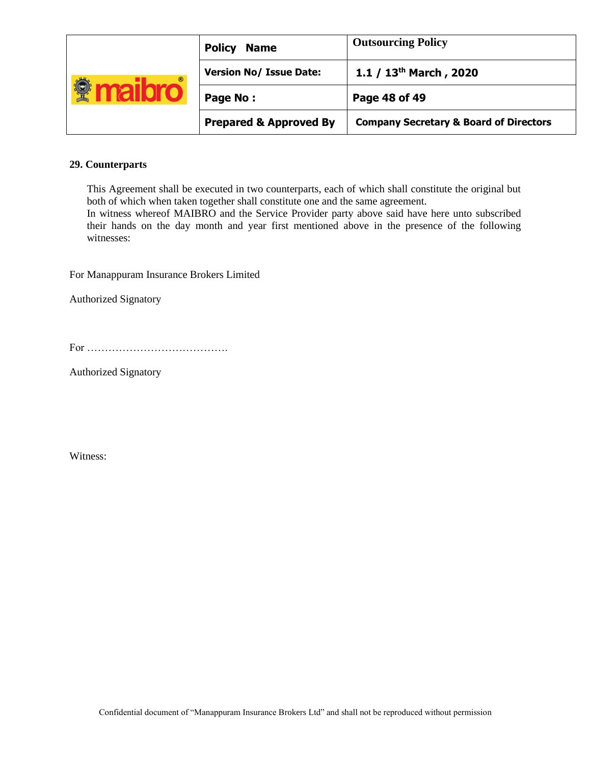|            | <b>Policy</b><br><b>Name</b>      | <b>Outsourcing Policy</b>                         |
|------------|-----------------------------------|---------------------------------------------------|
| $^{\circ}$ | <b>Version No/ Issue Date:</b>    | 1.1 / $13th$ March, 2020                          |
|            | Page No:                          | Page 48 of 49                                     |
|            | <b>Prepared &amp; Approved By</b> | <b>Company Secretary &amp; Board of Directors</b> |

# **29. Counterparts**

This Agreement shall be executed in two counterparts, each of which shall constitute the original but both of which when taken together shall constitute one and the same agreement.

In witness whereof MAIBRO and the Service Provider party above said have here unto subscribed their hands on the day month and year first mentioned above in the presence of the following witnesses:

For Manappuram Insurance Brokers Limited

Authorized Signatory

Authorized Signatory

Witness: